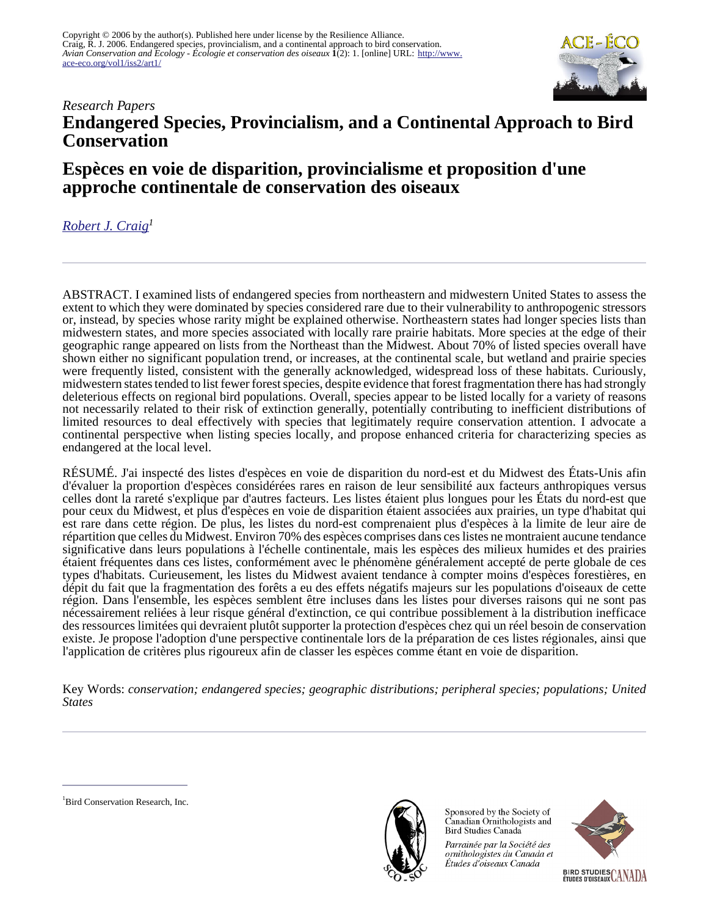

# *Research Papers* **Endangered Species, Provincialism, and a Continental Approach to Bird Conservation**

# **Espèces en voie de disparition, provincialisme et proposition d'une approche continentale de conservation des oiseaux**

*[Robert J. Craig](mailto:mail@birdconservationresearch.org)<sup>1</sup>*

ABSTRACT. I examined lists of endangered species from northeastern and midwestern United States to assess the extent to which they were dominated by species considered rare due to their vulnerability to anthropogenic stressors or, instead, by species whose rarity might be explained otherwise. Northeastern states had longer species lists than midwestern states, and more species associated with locally rare prairie habitats. More species at the edge of their geographic range appeared on lists from the Northeast than the Midwest. About 70% of listed species overall have shown either no significant population trend, or increases, at the continental scale, but wetland and prairie species were frequently listed, consistent with the generally acknowledged, widespread loss of these habitats. Curiously, midwestern states tended to list fewer forest species, despite evidence that forest fragmentation there has had strongly deleterious effects on regional bird populations. Overall, species appear to be listed locally for a variety of reasons not necessarily related to their risk of extinction generally, potentially contributing to inefficient distributions of limited resources to deal effectively with species that legitimately require conservation attention. I advocate a continental perspective when listing species locally, and propose enhanced criteria for characterizing species as endangered at the local level.

RÉSUMÉ. J'ai inspecté des listes d'espèces en voie de disparition du nord-est et du Midwest des États-Unis afin d'évaluer la proportion d'espèces considérées rares en raison de leur sensibilité aux facteurs anthropiques versus celles dont la rareté s'explique par d'autres facteurs. Les listes étaient plus longues pour les États du nord-est que pour ceux du Midwest, et plus d'espèces en voie de disparition étaient associées aux prairies, un type d'habitat qui est rare dans cette région. De plus, les listes du nord-est comprenaient plus d'espèces à la limite de leur aire de répartition que celles du Midwest. Environ 70% des espèces comprises dans ces listes ne montraient aucune tendance significative dans leurs populations à l'échelle continentale, mais les espèces des milieux humides et des prairies étaient fréquentes dans ces listes, conformément avec le phénomène généralement accepté de perte globale de ces types d'habitats. Curieusement, les listes du Midwest avaient tendance à compter moins d'espèces forestières, en dépit du fait que la fragmentation des forêts a eu des effets négatifs majeurs sur les populations d'oiseaux de cette région. Dans l'ensemble, les espèces semblent être incluses dans les listes pour diverses raisons qui ne sont pas nécessairement reliées à leur risque général d'extinction, ce qui contribue possiblement à la distribution inefficace des ressources limitées qui devraient plutôt supporter la protection d'espèces chez qui un réel besoin de conservation existe. Je propose l'adoption d'une perspective continentale lors de la préparation de ces listes régionales, ainsi que l'application de critères plus rigoureux afin de classer les espèces comme étant en voie de disparition.

Key Words: *conservation; endangered species; geographic distributions; peripheral species; populations; United States*



Sponsored by the Society of Canadian Ornithologists and Bird Studies Canada

Parrainée par la Société des ornithologistes du Canada et Études d'oiseaux Canada



<sup>&</sup>lt;sup>1</sup>Bird Conservation Research, Inc.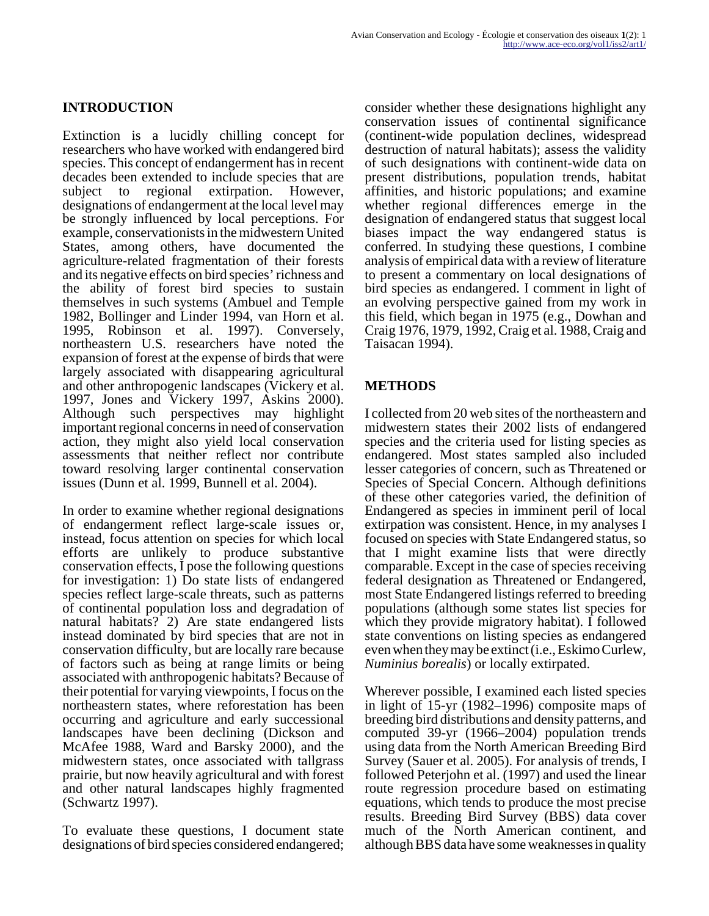## **INTRODUCTION**

Extinction is a lucidly chilling concept for researchers who have worked with endangered bird species. This concept of endangerment has in recent decades been extended to include species that are subject to regional extirpation. However, designations of endangerment at the local level may be strongly influenced by local perceptions. For example, conservationists in the midwestern United States, among others, have documented the agriculture-related fragmentation of their forests and its negative effects on bird species' richness and the ability of forest bird species to sustain themselves in such systems (Ambuel and Temple 1982, Bollinger and Linder 1994, van Horn et al. 1995, Robinson et al. 1997). Conversely, northeastern U.S. researchers have noted the expansion of forest at the expense of birds that were largely associated with disappearing agricultural and other anthropogenic landscapes (Vickery et al. 1997, Jones and Vickery 1997, Askins 2000). Although such perspectives may highlight important regional concerns in need of conservation action, they might also yield local conservation assessments that neither reflect nor contribute toward resolving larger continental conservation issues (Dunn et al. 1999, Bunnell et al. 2004).

In order to examine whether regional designations of endangerment reflect large-scale issues or, instead, focus attention on species for which local efforts are unlikely to produce substantive conservation effects, I pose the following questions for investigation: 1) Do state lists of endangered species reflect large-scale threats, such as patterns of continental population loss and degradation of natural habitats? 2) Are state endangered lists instead dominated by bird species that are not in conservation difficulty, but are locally rare because of factors such as being at range limits or being associated with anthropogenic habitats? Because of their potential for varying viewpoints, I focus on the northeastern states, where reforestation has been occurring and agriculture and early successional landscapes have been declining (Dickson and McAfee 1988, Ward and Barsky 2000), and the midwestern states, once associated with tallgrass prairie, but now heavily agricultural and with forest and other natural landscapes highly fragmented (Schwartz 1997).

To evaluate these questions, I document state designations of bird species considered endangered; consider whether these designations highlight any conservation issues of continental significance (continent-wide population declines, widespread destruction of natural habitats); assess the validity of such designations with continent-wide data on present distributions, population trends, habitat affinities, and historic populations; and examine whether regional differences emerge in the designation of endangered status that suggest local biases impact the way endangered status is conferred. In studying these questions, I combine analysis of empirical data with a review of literature to present a commentary on local designations of bird species as endangered. I comment in light of an evolving perspective gained from my work in this field, which began in 1975 (e.g., Dowhan and Craig 1976, 1979, 1992, Craig et al. 1988, Craig and Taisacan 1994).

#### **METHODS**

I collected from 20 web sites of the northeastern and midwestern states their 2002 lists of endangered species and the criteria used for listing species as endangered. Most states sampled also included lesser categories of concern, such as Threatened or Species of Special Concern. Although definitions of these other categories varied, the definition of Endangered as species in imminent peril of local extirpation was consistent. Hence, in my analyses I focused on species with State Endangered status, so that I might examine lists that were directly comparable. Except in the case of species receiving federal designation as Threatened or Endangered, most State Endangered listings referred to breeding populations (although some states list species for which they provide migratory habitat). I followed state conventions on listing species as endangered even when they may be extinct (i.e., Eskimo Curlew, *Numinius borealis*) or locally extirpated.

Wherever possible, I examined each listed species in light of 15-yr (1982–1996) composite maps of breeding bird distributions and density patterns, and computed 39-yr (1966–2004) population trends using data from the North American Breeding Bird Survey (Sauer et al. 2005). For analysis of trends, I followed Peterjohn et al. (1997) and used the linear route regression procedure based on estimating equations, which tends to produce the most precise results. Breeding Bird Survey (BBS) data cover much of the North American continent, and although BBS data have some weaknesses in quality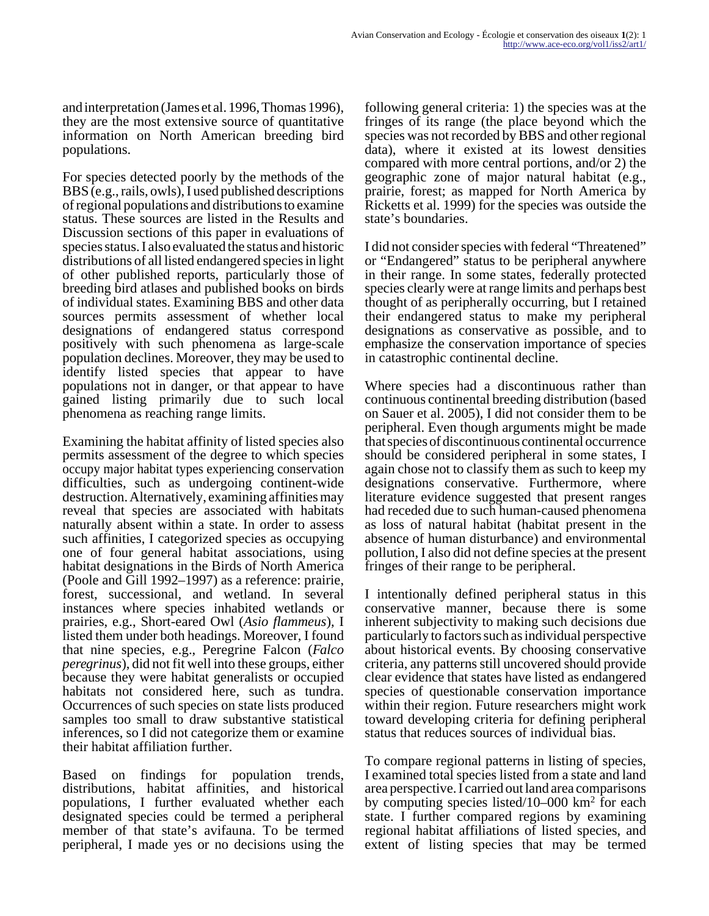and interpretation (James et al. 1996, Thomas 1996), they are the most extensive source of quantitative information on North American breeding bird populations.

For species detected poorly by the methods of the BBS (e.g., rails, owls), I used published descriptions of regional populations and distributions to examine status. These sources are listed in the Results and Discussion sections of this paper in evaluations of species status. I also evaluated the status and historic distributions of all listed endangered species in light of other published reports, particularly those of breeding bird atlases and published books on birds of individual states. Examining BBS and other data sources permits assessment of whether local designations of endangered status correspond positively with such phenomena as large-scale population declines. Moreover, they may be used to identify listed species that appear to have populations not in danger, or that appear to have gained listing primarily due to such local phenomena as reaching range limits.

Examining the habitat affinity of listed species also permits assessment of the degree to which species occupy major habitat types experiencing conservation difficulties, such as undergoing continent-wide destruction. Alternatively, examining affinities may reveal that species are associated with habitats naturally absent within a state. In order to assess such affinities, I categorized species as occupying one of four general habitat associations, using habitat designations in the Birds of North America (Poole and Gill 1992–1997) as a reference: prairie, forest, successional, and wetland. In several instances where species inhabited wetlands or prairies, e.g., Short-eared Owl (*Asio flammeus*), I listed them under both headings. Moreover, I found that nine species, e.g., Peregrine Falcon (*Falco peregrinus*), did not fit well into these groups, either because they were habitat generalists or occupied habitats not considered here, such as tundra. Occurrences of such species on state lists produced samples too small to draw substantive statistical inferences, so I did not categorize them or examine their habitat affiliation further.

Based on findings for population trends, distributions, habitat affinities, and historical populations, I further evaluated whether each designated species could be termed a peripheral member of that state's avifauna. To be termed peripheral, I made yes or no decisions using the

following general criteria: 1) the species was at the fringes of its range (the place beyond which the species was not recorded by BBS and other regional data), where it existed at its lowest densities compared with more central portions, and/or 2) the geographic zone of major natural habitat (e.g., prairie, forest; as mapped for North America by Ricketts et al. 1999) for the species was outside the state's boundaries.

I did not consider species with federal "Threatened" or "Endangered" status to be peripheral anywhere in their range. In some states, federally protected species clearly were at range limits and perhaps best thought of as peripherally occurring, but I retained their endangered status to make my peripheral designations as conservative as possible, and to emphasize the conservation importance of species in catastrophic continental decline.

Where species had a discontinuous rather than continuous continental breeding distribution (based on Sauer et al. 2005), I did not consider them to be peripheral. Even though arguments might be made that species of discontinuous continental occurrence should be considered peripheral in some states, I again chose not to classify them as such to keep my designations conservative. Furthermore, where literature evidence suggested that present ranges had receded due to such human-caused phenomena as loss of natural habitat (habitat present in the absence of human disturbance) and environmental pollution, I also did not define species at the present fringes of their range to be peripheral.

I intentionally defined peripheral status in this conservative manner, because there is some inherent subjectivity to making such decisions due particularly to factors such as individual perspective about historical events. By choosing conservative criteria, any patterns still uncovered should provide clear evidence that states have listed as endangered species of questionable conservation importance within their region. Future researchers might work toward developing criteria for defining peripheral status that reduces sources of individual bias.

To compare regional patterns in listing of species, I examined total species listed from a state and land area perspective. I carried out land area comparisons by computing species listed/10–000 km<sup>2</sup> for each state. I further compared regions by examining regional habitat affiliations of listed species, and extent of listing species that may be termed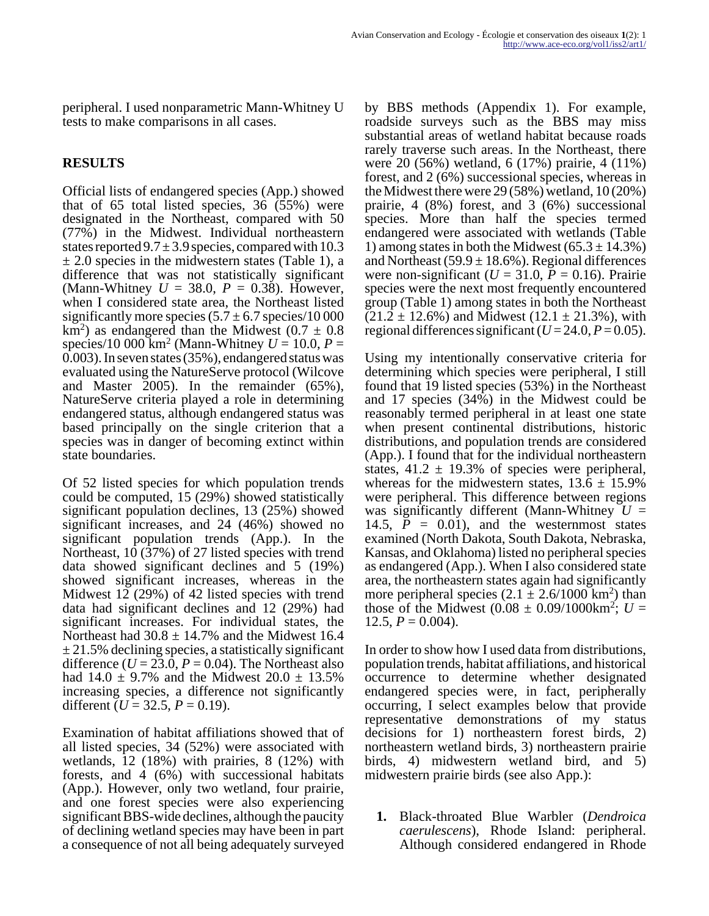peripheral. I used nonparametric Mann-Whitney U tests to make comparisons in all cases.

## **RESULTS**

Official lists of endangered species (App.) showed that of 65 total listed species, 36  $(55%)$  were designated in the Northeast, compared with 50 (77%) in the Midwest. Individual northeastern states reported  $9.7 \pm 3.9$  species, compared with 10.3  $\pm$  2.0 species in the midwestern states (Table 1), a difference that was not statistically significant (Mann-Whitney  $U = 38.0$ ,  $P = 0.38$ ). However, when I considered state area, the Northeast listed significantly more species  $(5.7 \pm 6.7 \text{ species}/10000$  $km^2$ ) as endangered than the Midwest (0.7  $\pm$  0.8 species/10 000 km<sup>2</sup> (Mann-Whitney  $U = 10.0, P =$ 0.003). In seven states (35%), endangered status was evaluated using the NatureServe protocol (Wilcove and Master 2005). In the remainder (65%), NatureServe criteria played a role in determining endangered status, although endangered status was based principally on the single criterion that a species was in danger of becoming extinct within state boundaries.

Of 52 listed species for which population trends could be computed, 15 (29%) showed statistically significant population declines, 13 (25%) showed significant increases, and 24 (46%) showed no significant population trends (App.). In the Northeast, 10 (37%) of 27 listed species with trend data showed significant declines and 5 (19%) showed significant increases, whereas in the Midwest 12 (29%) of 42 listed species with trend data had significant declines and 12 (29%) had significant increases. For individual states, the Northeast had  $30.8 \pm 14.7\%$  and the Midwest 16.4  $\pm$  21.5% declining species, a statistically significant difference ( $U = 23.0$ ,  $P = 0.04$ ). The Northeast also had  $14.0 \pm 9.7\%$  and the Midwest  $20.0 \pm 13.5\%$ increasing species, a difference not significantly different ( $U = 32.5$ ,  $P = 0.19$ ).

Examination of habitat affiliations showed that of all listed species, 34 (52%) were associated with wetlands, 12 (18%) with prairies, 8 (12%) with forests, and 4 (6%) with successional habitats (App.). However, only two wetland, four prairie, and one forest species were also experiencing significant BBS-wide declines, although the paucity of declining wetland species may have been in part a consequence of not all being adequately surveyed

by BBS methods (Appendix 1). For example, roadside surveys such as the BBS may miss substantial areas of wetland habitat because roads rarely traverse such areas. In the Northeast, there were 20 (56%) wetland, 6 (17%) prairie, 4 (11%) forest, and 2 (6%) successional species, whereas in the Midwest there were 29 (58%) wetland, 10 (20%) prairie, 4 (8%) forest, and 3 (6%) successional species. More than half the species termed endangered were associated with wetlands (Table 1) among states in both the Midwest  $(65.3 \pm 14.3\%)$ and Northeast (59.9  $\pm$  18.6%). Regional differences were non-significant ( $U = 31.0$ ,  $P = 0.16$ ). Prairie species were the next most frequently encountered group (Table 1) among states in both the Northeast  $(21.2 \pm 12.6\%)$  and Midwest  $(12.1 \pm 21.3\%)$ , with regional differences significant  $(U=24.0, P=0.05)$ .

Using my intentionally conservative criteria for determining which species were peripheral, I still found that 19 listed species (53%) in the Northeast and 17 species (34%) in the Midwest could be reasonably termed peripheral in at least one state when present continental distributions, historic distributions, and population trends are considered (App.). I found that for the individual northeastern states,  $41.2 \pm 19.3\%$  of species were peripheral, whereas for the midwestern states,  $13.6 \pm 15.9\%$ were peripheral. This difference between regions was significantly different (Mann-Whitney *U* = 14.5,  $P = 0.01$ ), and the westernmost states examined (North Dakota, South Dakota, Nebraska, Kansas, and Oklahoma) listed no peripheral species as endangered (App.). When I also considered state area, the northeastern states again had significantly more peripheral species  $(2.1 \pm 2.6/1000 \text{ km}^2)$  than those of the Midwest  $(0.08 \pm 0.09/1000 \text{km}^2)$ ;  $U =$ 12.5,  $P = 0.004$ ).

In order to show how I used data from distributions, population trends, habitat affiliations, and historical occurrence to determine whether designated endangered species were, in fact, peripherally occurring, I select examples below that provide representative demonstrations of my status decisions for 1) northeastern forest birds, 2) northeastern wetland birds, 3) northeastern prairie birds, 4) midwestern wetland bird, and 5) midwestern prairie birds (see also App.):

**1.** Black-throated Blue Warbler (*Dendroica caerulescens*), Rhode Island: peripheral. Although considered endangered in Rhode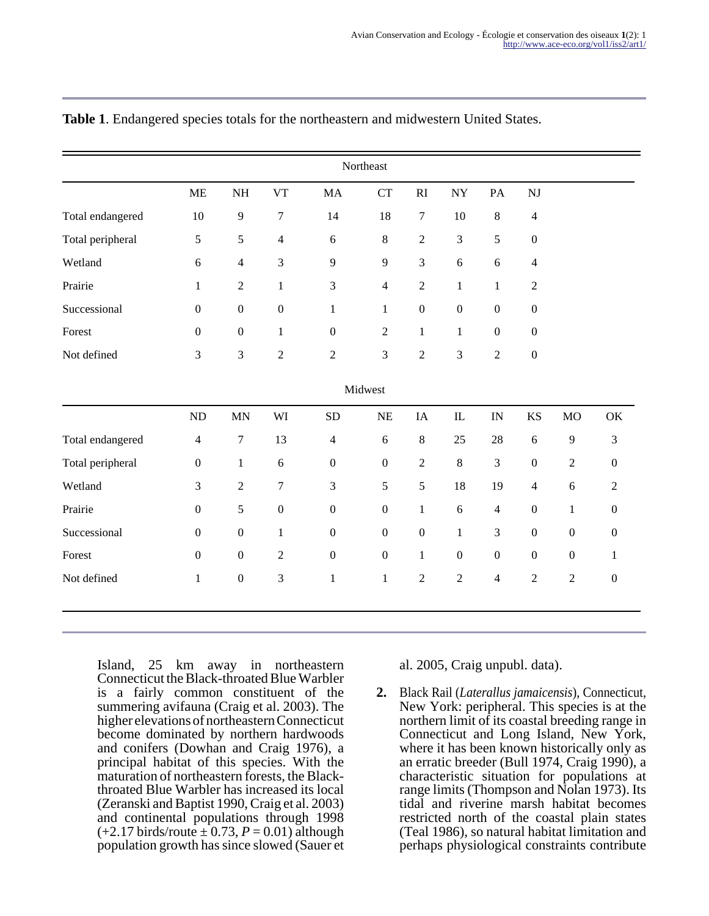|                  |                  |                  |                  |                  | Northeast        |                  |                  |                          |                  |                  |                  |
|------------------|------------------|------------------|------------------|------------------|------------------|------------------|------------------|--------------------------|------------------|------------------|------------------|
|                  | <b>ME</b>        | <b>NH</b>        | <b>VT</b>        | MA               | <b>CT</b>        | RI               | <b>NY</b>        | PA                       | NJ               |                  |                  |
| Total endangered | 10               | 9                | $\boldsymbol{7}$ | 14               | 18               | $\boldsymbol{7}$ | $10\,$           | $\,8\,$                  | $\overline{4}$   |                  |                  |
| Total peripheral | 5                | 5                | $\overline{4}$   | 6                | 8                | $\sqrt{2}$       | 3                | 5                        | $\boldsymbol{0}$ |                  |                  |
| Wetland          | 6                | $\overline{4}$   | $\mathfrak{Z}$   | $\overline{9}$   | $\overline{9}$   | $\mathfrak 3$    | 6                | $\sqrt{6}$               | $\overline{4}$   |                  |                  |
| Prairie          | $\mathbf{1}$     | $\sqrt{2}$       | $\mathbf{1}$     | $\mathfrak{Z}$   | $\overline{4}$   | $\sqrt{2}$       | $\,1$            | $\mathbf{1}$             | $\sqrt{2}$       |                  |                  |
| Successional     | $\boldsymbol{0}$ | $\boldsymbol{0}$ | $\boldsymbol{0}$ | $\,1$            | $\,1$            | $\boldsymbol{0}$ | $\boldsymbol{0}$ | $\boldsymbol{0}$         | $\boldsymbol{0}$ |                  |                  |
| Forest           | $\boldsymbol{0}$ | $\boldsymbol{0}$ | $\mathbf{1}$     | $\boldsymbol{0}$ | $\sqrt{2}$       | $\mathbf{1}$     | $\,1$            | $\boldsymbol{0}$         | $\boldsymbol{0}$ |                  |                  |
| Not defined      | 3                | 3                | $\overline{2}$   | $\overline{2}$   | $\overline{3}$   | $\overline{2}$   | 3                | $\overline{2}$           | $\mathbf{0}$     |                  |                  |
|                  |                  |                  |                  |                  | Midwest          |                  |                  |                          |                  |                  |                  |
|                  | ND               | <b>MN</b>        | WI               | <b>SD</b>        | NE               | IA               | $\mathbf{L}$     | $\ensuremath{\text{IN}}$ | <b>KS</b>        | <b>MO</b>        | OK               |
| Total endangered | $\overline{4}$   | $\boldsymbol{7}$ | 13               | $\overline{4}$   | $\sqrt{6}$       | $\,8\,$          | 25               | 28                       | $\sqrt{6}$       | $\overline{9}$   | $\mathfrak{Z}$   |
| Total peripheral | $\boldsymbol{0}$ | $\mathbf{1}$     | $\sqrt{6}$       | $\boldsymbol{0}$ | $\boldsymbol{0}$ | $\boldsymbol{2}$ | $\,8\,$          | $\mathfrak{Z}$           | $\boldsymbol{0}$ | $\sqrt{2}$       | $\boldsymbol{0}$ |
| Wetland          | 3                | $\sqrt{2}$       | $\boldsymbol{7}$ | 3                | 5                | $\mathfrak s$    | 18               | 19                       | $\overline{4}$   | 6                | $\overline{2}$   |
| Prairie          | $\overline{0}$   | 5                | $\boldsymbol{0}$ | $\boldsymbol{0}$ | $\boldsymbol{0}$ | $\mathbf{1}$     | 6                | $\overline{4}$           | $\boldsymbol{0}$ | $\mathbf{1}$     | $\boldsymbol{0}$ |
| Successional     | $\boldsymbol{0}$ | $\boldsymbol{0}$ | $\mathbf{1}$     | $\mathbf{0}$     | $\boldsymbol{0}$ | $\boldsymbol{0}$ | $\mathbf{1}$     | $\mathfrak{Z}$           | $\boldsymbol{0}$ | $\boldsymbol{0}$ | $\mathbf{0}$     |
| Forest           | $\boldsymbol{0}$ | $\boldsymbol{0}$ | $\boldsymbol{2}$ | $\boldsymbol{0}$ | $\boldsymbol{0}$ | $\mathbf{1}$     | $\boldsymbol{0}$ | $\boldsymbol{0}$         | $\boldsymbol{0}$ | $\boldsymbol{0}$ | $\mathbf{1}$     |
| Not defined      | $\mathbf{1}$     | $\boldsymbol{0}$ | $\mathfrak{Z}$   | $\mathbf{1}$     | $\mathbf{1}$     | $\sqrt{2}$       | $\overline{2}$   | $\overline{4}$           | $\overline{2}$   | $\sqrt{2}$       | $\boldsymbol{0}$ |

#### **Table 1**. Endangered species totals for the northeastern and midwestern United States.

Island, 25 km away in northeastern Connecticut the Black-throated Blue Warbler is a fairly common constituent of the summering avifauna (Craig et al. 2003). The higher elevations of northeastern Connecticut become dominated by northern hardwoods and conifers (Dowhan and Craig 1976), a principal habitat of this species. With the maturation of northeastern forests, the Blackthroated Blue Warbler has increased its local (Zeranski and Baptist 1990, Craig et al. 2003) and continental populations through 1998  $(+2.17 \text{ birds/route} \pm 0.73, P = 0.01)$  although population growth has since slowed (Sauer et al. 2005, Craig unpubl. data).

**2.** Black Rail (*Laterallus jamaicensis*), Connecticut, New York: peripheral. This species is at the northern limit of its coastal breeding range in Connecticut and Long Island, New York, where it has been known historically only as an erratic breeder (Bull 1974, Craig 1990), a characteristic situation for populations at range limits (Thompson and Nolan 1973). Its tidal and riverine marsh habitat becomes restricted north of the coastal plain states (Teal 1986), so natural habitat limitation and perhaps physiological constraints contribute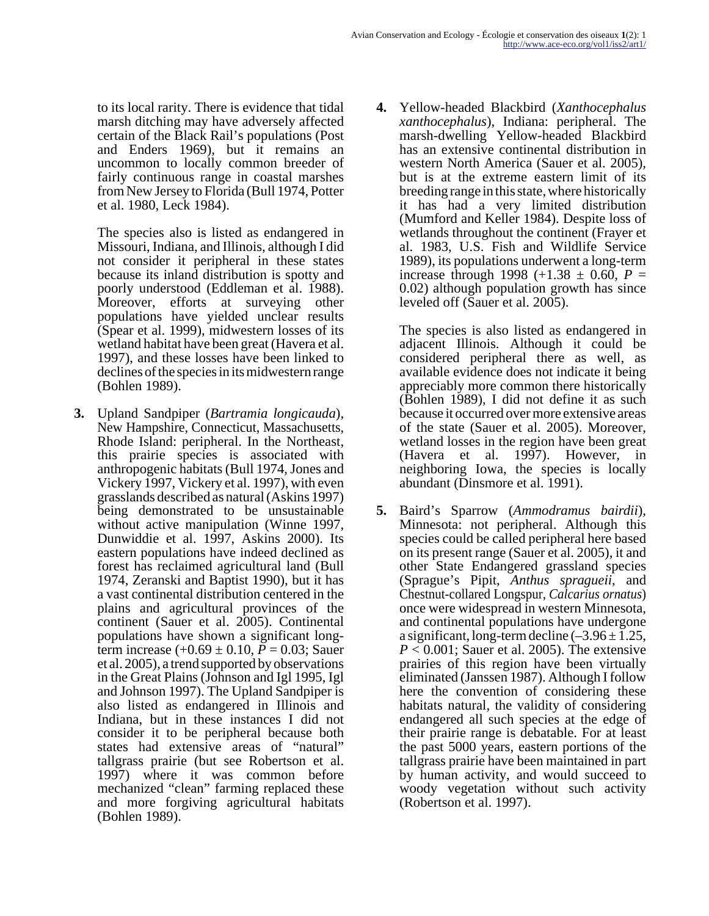to its local rarity. There is evidence that tidal marsh ditching may have adversely affected certain of the Black Rail's populations (Post and Enders 1969), but it remains an uncommon to locally common breeder of fairly continuous range in coastal marshes from New Jersey to Florida (Bull 1974, Potter et al. 1980, Leck 1984).

The species also is listed as endangered in Missouri, Indiana, and Illinois, although I did not consider it peripheral in these states because its inland distribution is spotty and poorly understood (Eddleman et al. 1988). Moreover, efforts at surveying other populations have yielded unclear results (Spear et al. 1999), midwestern losses of its wetland habitat have been great (Havera et al. 1997), and these losses have been linked to declines of the species in its midwestern range (Bohlen 1989).

**3.** Upland Sandpiper (*Bartramia longicauda*), New Hampshire, Connecticut, Massachusetts, Rhode Island: peripheral. In the Northeast, this prairie species is associated with anthropogenic habitats (Bull 1974, Jones and Vickery 1997, Vickery et al. 1997), with even grasslands described as natural (Askins 1997) being demonstrated to be unsustainable without active manipulation (Winne 1997, Dunwiddie et al. 1997, Askins 2000). Its eastern populations have indeed declined as forest has reclaimed agricultural land (Bull 1974, Zeranski and Baptist 1990), but it has a vast continental distribution centered in the plains and agricultural provinces of the continent (Sauer et al. 2005). Continental populations have shown a significant longterm increase  $(+0.69 \pm 0.10, P = 0.03;$  Sauer et al. 2005), a trend supported by observations in the Great Plains (Johnson and Igl 1995, Igl and Johnson 1997). The Upland Sandpiper is also listed as endangered in Illinois and Indiana, but in these instances I did not consider it to be peripheral because both states had extensive areas of "natural" tallgrass prairie (but see Robertson et al. 1997) where it was common before mechanized "clean" farming replaced these and more forgiving agricultural habitats (Bohlen 1989).

**4.** Yellow-headed Blackbird (*Xanthocephalus xanthocephalus*), Indiana: peripheral. The marsh-dwelling Yellow-headed Blackbird has an extensive continental distribution in western North America (Sauer et al. 2005), but is at the extreme eastern limit of its breeding range in this state, where historically it has had a very limited distribution (Mumford and Keller 1984). Despite loss of wetlands throughout the continent (Frayer et al. 1983, U.S. Fish and Wildlife Service 1989), its populations underwent a long-term increase through 1998  $(+1.38 \pm 0.60, P =$ 0.02) although population growth has since leveled off (Sauer et al. 2005).

The species is also listed as endangered in adjacent Illinois. Although it could be considered peripheral there as well, as available evidence does not indicate it being appreciably more common there historically (Bohlen 1989), I did not define it as such because it occurred over more extensive areas of the state (Sauer et al. 2005). Moreover, wetland losses in the region have been great (Havera et al. 1997). However, in neighboring Iowa, the species is locally abundant (Dinsmore et al. 1991).

**5.** Baird's Sparrow (*Ammodramus bairdii*), Minnesota: not peripheral. Although this species could be called peripheral here based on its present range (Sauer et al. 2005), it and other State Endangered grassland species (Sprague's Pipit, *Anthus spragueii*, and Chestnut-collared Longspur, *Calcarius ornatus*) once were widespread in western Minnesota, and continental populations have undergone a significant, long-term decline  $(-3.96 \pm 1.25,$ *P* < 0.001; Sauer et al. 2005). The extensive prairies of this region have been virtually eliminated (Janssen 1987). Although I follow here the convention of considering these habitats natural, the validity of considering endangered all such species at the edge of their prairie range is debatable. For at least the past 5000 years, eastern portions of the tallgrass prairie have been maintained in part by human activity, and would succeed to woody vegetation without such activity (Robertson et al. 1997).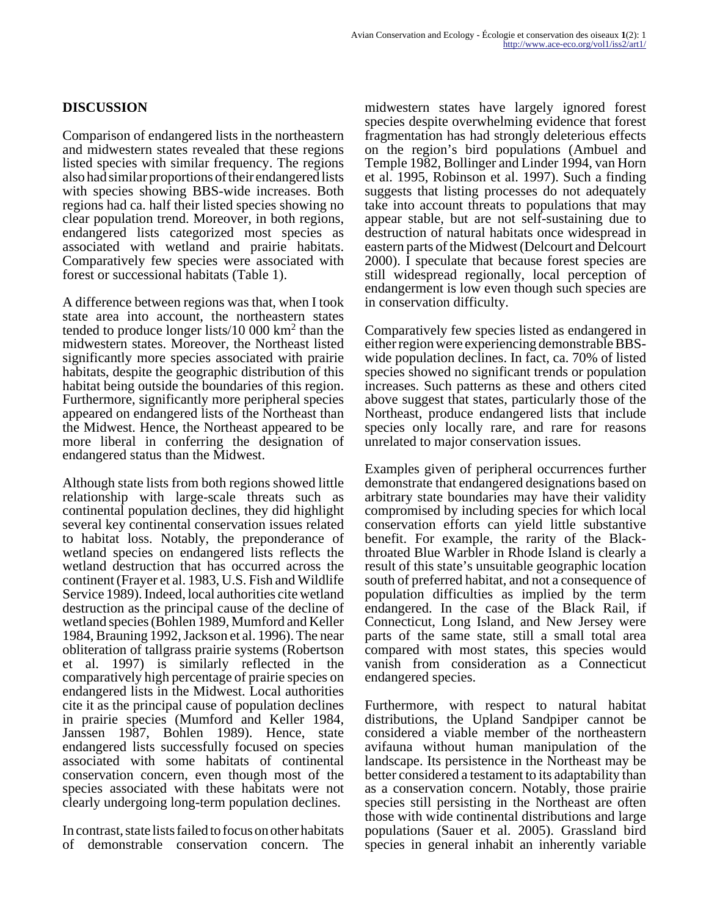## **DISCUSSION**

Comparison of endangered lists in the northeastern and midwestern states revealed that these regions listed species with similar frequency. The regions also had similar proportions of their endangered lists with species showing BBS-wide increases. Both regions had ca. half their listed species showing no clear population trend. Moreover, in both regions, endangered lists categorized most species as associated with wetland and prairie habitats. Comparatively few species were associated with forest or successional habitats (Table 1).

A difference between regions was that, when I took state area into account, the northeastern states tended to produce longer lists/10 000 km<sup>2</sup> than the midwestern states. Moreover, the Northeast listed significantly more species associated with prairie habitats, despite the geographic distribution of this habitat being outside the boundaries of this region. Furthermore, significantly more peripheral species appeared on endangered lists of the Northeast than the Midwest. Hence, the Northeast appeared to be more liberal in conferring the designation of endangered status than the Midwest.

Although state lists from both regions showed little relationship with large-scale threats such as continental population declines, they did highlight several key continental conservation issues related to habitat loss. Notably, the preponderance of wetland species on endangered lists reflects the wetland destruction that has occurred across the continent (Frayer et al. 1983, U.S. Fish and Wildlife Service 1989). Indeed, local authorities cite wetland destruction as the principal cause of the decline of wetland species (Bohlen 1989, Mumford and Keller 1984, Brauning 1992, Jackson et al. 1996). The near obliteration of tallgrass prairie systems (Robertson et al. 1997) is similarly reflected in the comparatively high percentage of prairie species on endangered lists in the Midwest. Local authorities cite it as the principal cause of population declines in prairie species (Mumford and Keller 1984, Janssen 1987, Bohlen 1989). Hence, state endangered lists successfully focused on species associated with some habitats of continental conservation concern, even though most of the species associated with these habitats were not clearly undergoing long-term population declines.

In contrast, state lists failed to focus on other habitats of demonstrable conservation concern. The midwestern states have largely ignored forest species despite overwhelming evidence that forest fragmentation has had strongly deleterious effects on the region's bird populations (Ambuel and Temple 1982, Bollinger and Linder 1994, van Horn et al. 1995, Robinson et al. 1997). Such a finding suggests that listing processes do not adequately take into account threats to populations that may appear stable, but are not self-sustaining due to destruction of natural habitats once widespread in eastern parts of the Midwest (Delcourt and Delcourt 2000). I speculate that because forest species are still widespread regionally, local perception of endangerment is low even though such species are in conservation difficulty.

Comparatively few species listed as endangered in either region were experiencing demonstrable BBSwide population declines. In fact, ca. 70% of listed species showed no significant trends or population increases. Such patterns as these and others cited above suggest that states, particularly those of the Northeast, produce endangered lists that include species only locally rare, and rare for reasons unrelated to major conservation issues.

Examples given of peripheral occurrences further demonstrate that endangered designations based on arbitrary state boundaries may have their validity compromised by including species for which local conservation efforts can yield little substantive benefit. For example, the rarity of the Blackthroated Blue Warbler in Rhode Island is clearly a result of this state's unsuitable geographic location south of preferred habitat, and not a consequence of population difficulties as implied by the term endangered. In the case of the Black Rail, if Connecticut, Long Island, and New Jersey were parts of the same state, still a small total area compared with most states, this species would vanish from consideration as a Connecticut endangered species.

Furthermore, with respect to natural habitat distributions, the Upland Sandpiper cannot be considered a viable member of the northeastern avifauna without human manipulation of the landscape. Its persistence in the Northeast may be better considered a testament to its adaptability than as a conservation concern. Notably, those prairie species still persisting in the Northeast are often those with wide continental distributions and large populations (Sauer et al. 2005). Grassland bird species in general inhabit an inherently variable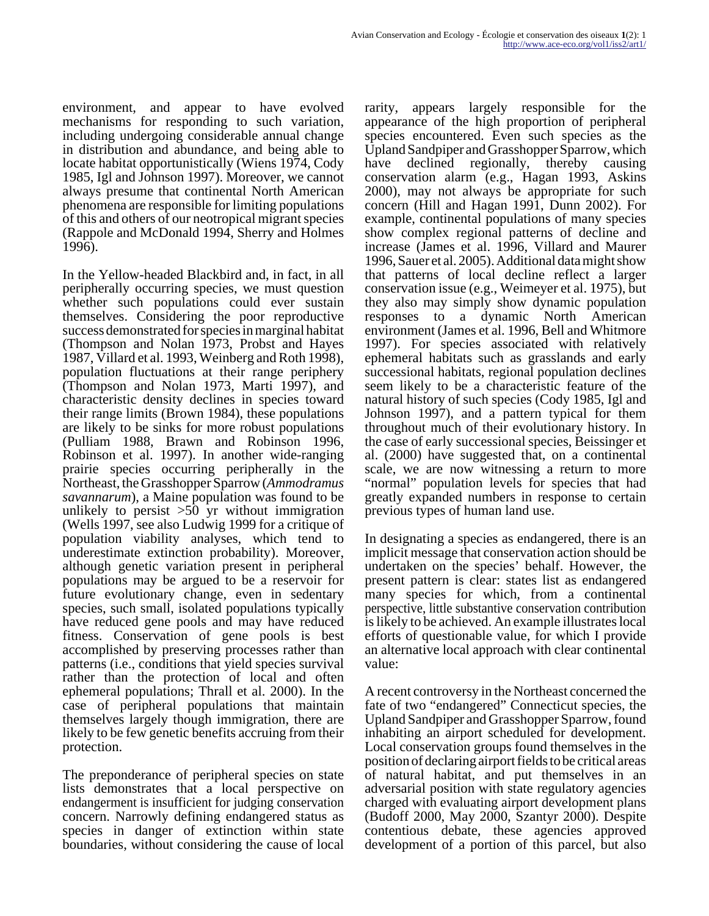environment, and appear to have evolved mechanisms for responding to such variation, including undergoing considerable annual change in distribution and abundance, and being able to locate habitat opportunistically (Wiens 1974, Cody 1985, Igl and Johnson 1997). Moreover, we cannot always presume that continental North American phenomena are responsible for limiting populations of this and others of our neotropical migrant species (Rappole and McDonald 1994, Sherry and Holmes 1996).

In the Yellow-headed Blackbird and, in fact, in all peripherally occurring species, we must question whether such populations could ever sustain themselves. Considering the poor reproductive success demonstrated for species in marginal habitat (Thompson and Nolan 1973, Probst and Hayes 1987, Villard et al. 1993, Weinberg and Roth 1998), population fluctuations at their range periphery (Thompson and Nolan 1973, Marti 1997), and characteristic density declines in species toward their range limits (Brown 1984), these populations are likely to be sinks for more robust populations (Pulliam 1988, Brawn and Robinson 1996, Robinson et al. 1997). In another wide-ranging prairie species occurring peripherally in the Northeast, the Grasshopper Sparrow (*Ammodramus savannarum*), a Maine population was found to be unlikely to persist  $>50$  yr without immigration (Wells 1997, see also Ludwig 1999 for a critique of population viability analyses, which tend to underestimate extinction probability). Moreover, although genetic variation present in peripheral populations may be argued to be a reservoir for future evolutionary change, even in sedentary species, such small, isolated populations typically have reduced gene pools and may have reduced fitness. Conservation of gene pools is best accomplished by preserving processes rather than patterns (i.e., conditions that yield species survival rather than the protection of local and often ephemeral populations; Thrall et al. 2000). In the case of peripheral populations that maintain themselves largely though immigration, there are likely to be few genetic benefits accruing from their protection.

The preponderance of peripheral species on state lists demonstrates that a local perspective on endangerment is insufficient for judging conservation concern. Narrowly defining endangered status as species in danger of extinction within state boundaries, without considering the cause of local

rarity, appears largely responsible for the appearance of the high proportion of peripheral species encountered. Even such species as the Upland Sandpiper and Grasshopper Sparrow, which have declined regionally, thereby causing conservation alarm (e.g., Hagan 1993, Askins 2000), may not always be appropriate for such concern (Hill and Hagan 1991, Dunn 2002). For example, continental populations of many species show complex regional patterns of decline and increase (James et al. 1996, Villard and Maurer 1996, Sauer et al. 2005). Additional data might show that patterns of local decline reflect a larger conservation issue (e.g., Weimeyer et al. 1975), but they also may simply show dynamic population responses to a dynamic North American environment (James et al. 1996, Bell and Whitmore 1997). For species associated with relatively ephemeral habitats such as grasslands and early successional habitats, regional population declines seem likely to be a characteristic feature of the natural history of such species (Cody 1985, Igl and Johnson 1997), and a pattern typical for them throughout much of their evolutionary history. In the case of early successional species, Beissinger et al. (2000) have suggested that, on a continental scale, we are now witnessing a return to more "normal" population levels for species that had greatly expanded numbers in response to certain previous types of human land use.

In designating a species as endangered, there is an implicit message that conservation action should be undertaken on the species' behalf. However, the present pattern is clear: states list as endangered many species for which, from a continental perspective, little substantive conservation contribution is likely to be achieved. An example illustrates local efforts of questionable value, for which I provide an alternative local approach with clear continental value:

A recent controversy in the Northeast concerned the fate of two "endangered" Connecticut species, the Upland Sandpiper and Grasshopper Sparrow, found inhabiting an airport scheduled for development. Local conservation groups found themselves in the position of declaring airport fields to be critical areas of natural habitat, and put themselves in an adversarial position with state regulatory agencies charged with evaluating airport development plans (Budoff 2000, May 2000, Szantyr 2000). Despite contentious debate, these agencies approved development of a portion of this parcel, but also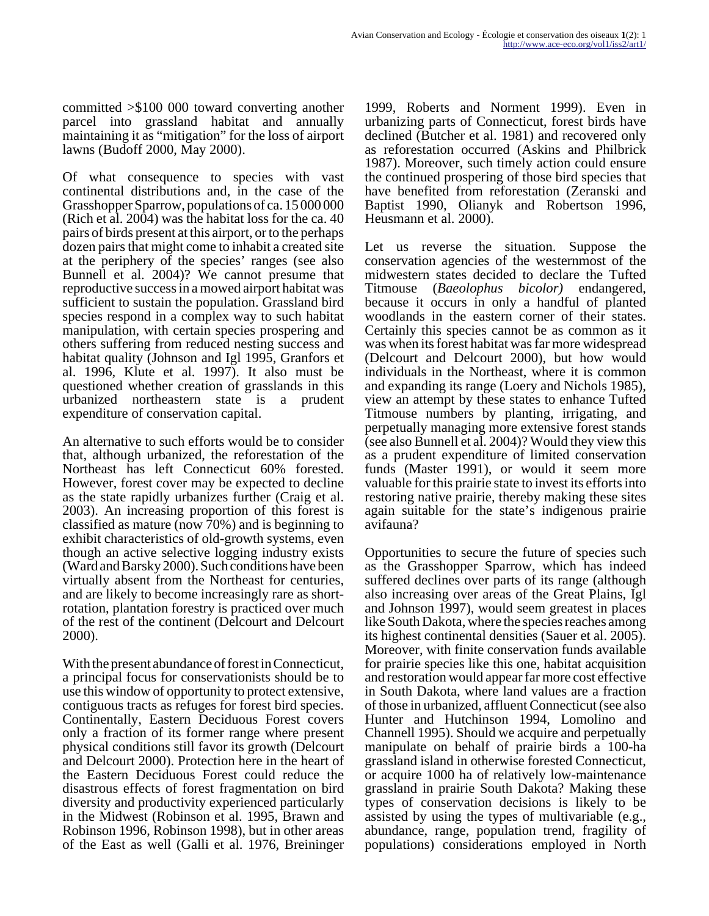committed >\$100 000 toward converting another parcel into grassland habitat and annually maintaining it as "mitigation" for the loss of airport lawns (Budoff 2000, May 2000).

Of what consequence to species with vast continental distributions and, in the case of the Grasshopper Sparrow, populations of ca. 15 000 000 (Rich et al. 2004) was the habitat loss for the ca. 40 pairs of birds present at this airport, or to the perhaps dozen pairs that might come to inhabit a created site at the periphery of the species' ranges (see also Bunnell et al. 2004)? We cannot presume that reproductive success in a mowed airport habitat was sufficient to sustain the population. Grassland bird species respond in a complex way to such habitat manipulation, with certain species prospering and others suffering from reduced nesting success and habitat quality (Johnson and Igl 1995, Granfors et al. 1996, Klute et al. 1997). It also must be questioned whether creation of grasslands in this urbanized northeastern state is a prudent expenditure of conservation capital.

An alternative to such efforts would be to consider that, although urbanized, the reforestation of the Northeast has left Connecticut 60% forested. However, forest cover may be expected to decline as the state rapidly urbanizes further (Craig et al. 2003). An increasing proportion of this forest is classified as mature (now 70%) and is beginning to exhibit characteristics of old-growth systems, even though an active selective logging industry exists (Ward and Barsky 2000). Such conditions have been virtually absent from the Northeast for centuries, and are likely to become increasingly rare as shortrotation, plantation forestry is practiced over much of the rest of the continent (Delcourt and Delcourt 2000).

With the present abundance of forest in Connecticut, a principal focus for conservationists should be to use this window of opportunity to protect extensive, contiguous tracts as refuges for forest bird species. Continentally, Eastern Deciduous Forest covers only a fraction of its former range where present physical conditions still favor its growth (Delcourt and Delcourt 2000). Protection here in the heart of the Eastern Deciduous Forest could reduce the disastrous effects of forest fragmentation on bird diversity and productivity experienced particularly in the Midwest (Robinson et al. 1995, Brawn and Robinson 1996, Robinson 1998), but in other areas of the East as well (Galli et al. 1976, Breininger

1999, Roberts and Norment 1999). Even in urbanizing parts of Connecticut, forest birds have declined (Butcher et al. 1981) and recovered only as reforestation occurred (Askins and Philbrick 1987). Moreover, such timely action could ensure the continued prospering of those bird species that have benefited from reforestation (Zeranski and Baptist 1990, Olianyk and Robertson 1996, Heusmann et al. 2000).

Let us reverse the situation. Suppose the conservation agencies of the westernmost of the midwestern states decided to declare the Tufted Titmouse (*Baeolophus bicolor)* endangered, because it occurs in only a handful of planted woodlands in the eastern corner of their states. Certainly this species cannot be as common as it was when its forest habitat was far more widespread (Delcourt and Delcourt 2000), but how would individuals in the Northeast, where it is common and expanding its range (Loery and Nichols 1985), view an attempt by these states to enhance Tufted Titmouse numbers by planting, irrigating, and perpetually managing more extensive forest stands (see also Bunnell et al. 2004)? Would they view this as a prudent expenditure of limited conservation funds (Master 1991), or would it seem more valuable for this prairie state to invest its efforts into restoring native prairie, thereby making these sites again suitable for the state's indigenous prairie avifauna?

Opportunities to secure the future of species such as the Grasshopper Sparrow, which has indeed suffered declines over parts of its range (although also increasing over areas of the Great Plains, Igl and Johnson 1997), would seem greatest in places like South Dakota, where the species reaches among its highest continental densities (Sauer et al. 2005). Moreover, with finite conservation funds available for prairie species like this one, habitat acquisition and restoration would appear far more cost effective in South Dakota, where land values are a fraction of those in urbanized, affluent Connecticut (see also Hunter and Hutchinson 1994, Lomolino and Channell 1995). Should we acquire and perpetually manipulate on behalf of prairie birds a 100-ha grassland island in otherwise forested Connecticut, or acquire 1000 ha of relatively low-maintenance grassland in prairie South Dakota? Making these types of conservation decisions is likely to be assisted by using the types of multivariable (e.g., abundance, range, population trend, fragility of populations) considerations employed in North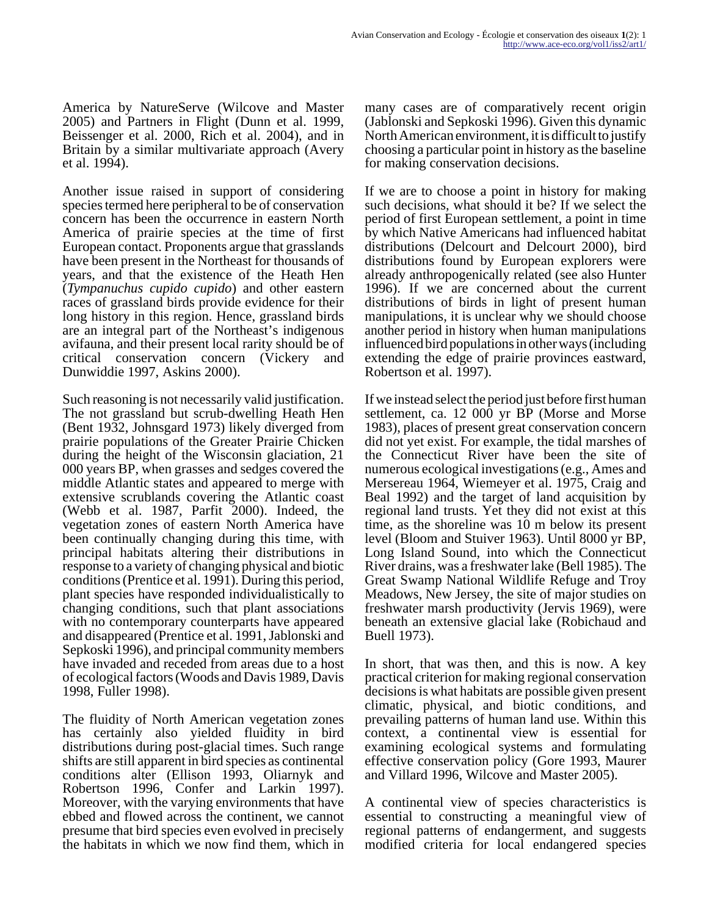America by NatureServe (Wilcove and Master 2005) and Partners in Flight (Dunn et al. 1999, Beissenger et al. 2000, Rich et al. 2004), and in Britain by a similar multivariate approach (Avery et al. 1994).

Another issue raised in support of considering species termed here peripheral to be of conservation concern has been the occurrence in eastern North America of prairie species at the time of first European contact. Proponents argue that grasslands have been present in the Northeast for thousands of years, and that the existence of the Heath Hen (*Tympanuchus cupido cupido*) and other eastern races of grassland birds provide evidence for their long history in this region. Hence, grassland birds are an integral part of the Northeast's indigenous avifauna, and their present local rarity should be of critical conservation concern (Vickery and Dunwiddie 1997, Askins 2000).

Such reasoning is not necessarily valid justification. The not grassland but scrub-dwelling Heath Hen (Bent 1932, Johnsgard 1973) likely diverged from prairie populations of the Greater Prairie Chicken during the height of the Wisconsin glaciation, 21 000 years BP, when grasses and sedges covered the middle Atlantic states and appeared to merge with extensive scrublands covering the Atlantic coast (Webb et al. 1987, Parfit 2000). Indeed, the vegetation zones of eastern North America have been continually changing during this time, with principal habitats altering their distributions in response to a variety of changing physical and biotic conditions (Prentice et al. 1991). During this period, plant species have responded individualistically to changing conditions, such that plant associations with no contemporary counterparts have appeared and disappeared (Prentice et al. 1991, Jablonski and Sepkoski 1996), and principal community members have invaded and receded from areas due to a host of ecological factors (Woods and Davis 1989, Davis 1998, Fuller 1998).

The fluidity of North American vegetation zones has certainly also yielded fluidity in bird distributions during post-glacial times. Such range shifts are still apparent in bird species as continental conditions alter (Ellison 1993, Oliarnyk and Robertson 1996, Confer and Larkin 1997). Moreover, with the varying environments that have ebbed and flowed across the continent, we cannot presume that bird species even evolved in precisely the habitats in which we now find them, which in

many cases are of comparatively recent origin (Jablonski and Sepkoski 1996). Given this dynamic North American environment, it is difficult to justify choosing a particular point in history as the baseline for making conservation decisions.

If we are to choose a point in history for making such decisions, what should it be? If we select the period of first European settlement, a point in time by which Native Americans had influenced habitat distributions (Delcourt and Delcourt 2000), bird distributions found by European explorers were already anthropogenically related (see also Hunter 1996). If we are concerned about the current distributions of birds in light of present human manipulations, it is unclear why we should choose another period in history when human manipulations influenced bird populations in other ways (including extending the edge of prairie provinces eastward, Robertson et al. 1997).

If we instead select the period just before first human settlement, ca. 12 000 yr BP (Morse and Morse 1983), places of present great conservation concern did not yet exist. For example, the tidal marshes of the Connecticut River have been the site of numerous ecological investigations (e.g., Ames and Mersereau 1964, Wiemeyer et al. 1975, Craig and Beal 1992) and the target of land acquisition by regional land trusts. Yet they did not exist at this time, as the shoreline was 10 m below its present level (Bloom and Stuiver 1963). Until 8000 yr BP, Long Island Sound, into which the Connecticut River drains, was a freshwater lake (Bell 1985). The Great Swamp National Wildlife Refuge and Troy Meadows, New Jersey, the site of major studies on freshwater marsh productivity (Jervis 1969), were beneath an extensive glacial lake (Robichaud and Buell 1973).

In short, that was then, and this is now. A key practical criterion for making regional conservation decisions is what habitats are possible given present climatic, physical, and biotic conditions, and prevailing patterns of human land use. Within this context, a continental view is essential for examining ecological systems and formulating effective conservation policy (Gore 1993, Maurer and Villard 1996, Wilcove and Master 2005).

A continental view of species characteristics is essential to constructing a meaningful view of regional patterns of endangerment, and suggests modified criteria for local endangered species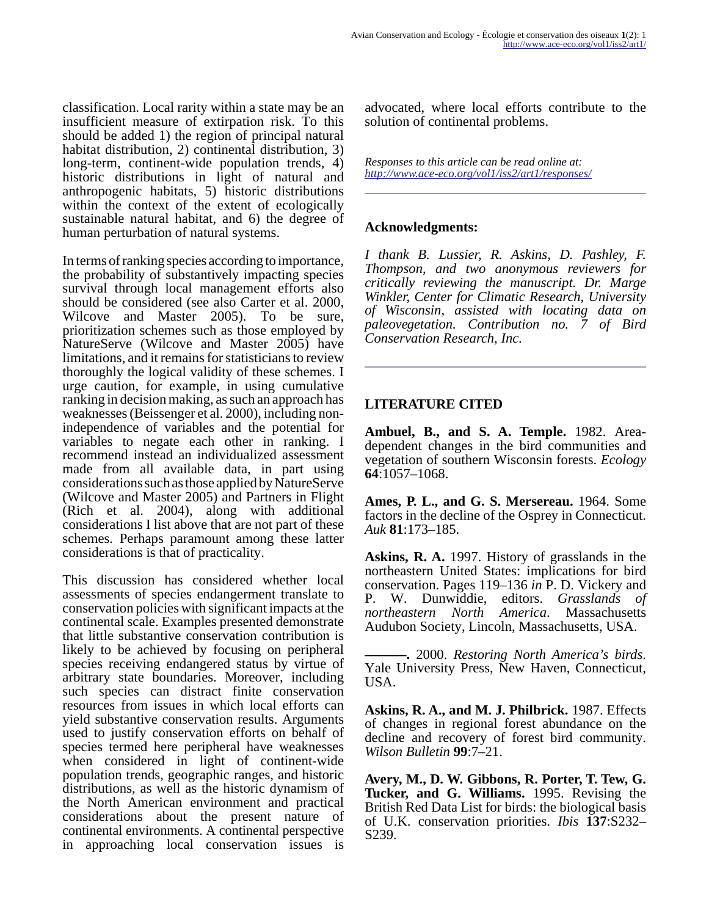classification. Local rarity within a state may be an insufficient measure of extirpation risk. To this should be added 1) the region of principal natural habitat distribution, 2) continental distribution, 3) long-term, continent-wide population trends, 4) historic distributions in light of natural and anthropogenic habitats, 5) historic distributions within the context of the extent of ecologically sustainable natural habitat, and 6) the degree of human perturbation of natural systems.

In terms of ranking species according to importance, the probability of substantively impacting species survival through local management efforts also should be considered (see also Carter et al. 2000, Wilcove and Master 2005). To be sure, prioritization schemes such as those employed by NatureServe (Wilcove and Master 2005) have limitations, and it remains for statisticians to review thoroughly the logical validity of these schemes. I urge caution, for example, in using cumulative ranking in decision making, as such an approach has weaknesses (Beissenger et al. 2000), including nonindependence of variables and the potential for variables to negate each other in ranking. I recommend instead an individualized assessment made from all available data, in part using considerations such as those applied by NatureServe (Wilcove and Master 2005) and Partners in Flight (Rich et al. 2004), along with additional considerations I list above that are not part of these schemes. Perhaps paramount among these latter considerations is that of practicality.

This discussion has considered whether local assessments of species endangerment translate to conservation policies with significant impacts at the continental scale. Examples presented demonstrate that little substantive conservation contribution is likely to be achieved by focusing on peripheral species receiving endangered status by virtue of arbitrary state boundaries. Moreover, including such species can distract finite conservation resources from issues in which local efforts can yield substantive conservation results. Arguments used to justify conservation efforts on behalf of species termed here peripheral have weaknesses when considered in light of continent-wide population trends, geographic ranges, and historic distributions, as well as the historic dynamism of the North American environment and practical considerations about the present nature of continental environments. A continental perspective in approaching local conservation issues is

advocated, where local efforts contribute to the solution of continental problems.

*Responses to this article can be read online at: <http://www.ace-eco.org/vol1/iss2/art1/responses/>*

## **Acknowledgments:**

*I thank B. Lussier, R. Askins, D. Pashley, F. Thompson, and two anonymous reviewers for critically reviewing the manuscript. Dr. Marge Winkler, Center for Climatic Research, University of Wisconsin, assisted with locating data on paleovegetation. Contribution no. 7 of Bird Conservation Research, Inc.*

#### **LITERATURE CITED**

**Ambuel, B., and S. A. Temple.** 1982. Areadependent changes in the bird communities and vegetation of southern Wisconsin forests. *Ecology* **64**:1057–1068.

**Ames, P. L., and G. S. Mersereau.** 1964. Some factors in the decline of the Osprey in Connecticut. *Auk* **81**:173–185.

**Askins, R. A.** 1997. History of grasslands in the northeastern United States: implications for bird conservation. Pages 119–136 *in* P. D. Vickery and P. W. Dunwiddie, editors. *Grasslands of northeastern North America*. Massachusetts Audubon Society, Lincoln, Massachusetts, USA.

**———.** 2000. *Restoring North America's birds*. Yale University Press, New Haven, Connecticut, USA.

**Askins, R. A., and M. J. Philbrick.** 1987. Effects of changes in regional forest abundance on the decline and recovery of forest bird community. *Wilson Bulletin* **99**:7–21.

**Avery, M., D. W. Gibbons, R. Porter, T. Tew, G. Tucker, and G. Williams.** 1995. Revising the British Red Data List for birds: the biological basis of U.K. conservation priorities. *Ibis* **137**:S232– S239.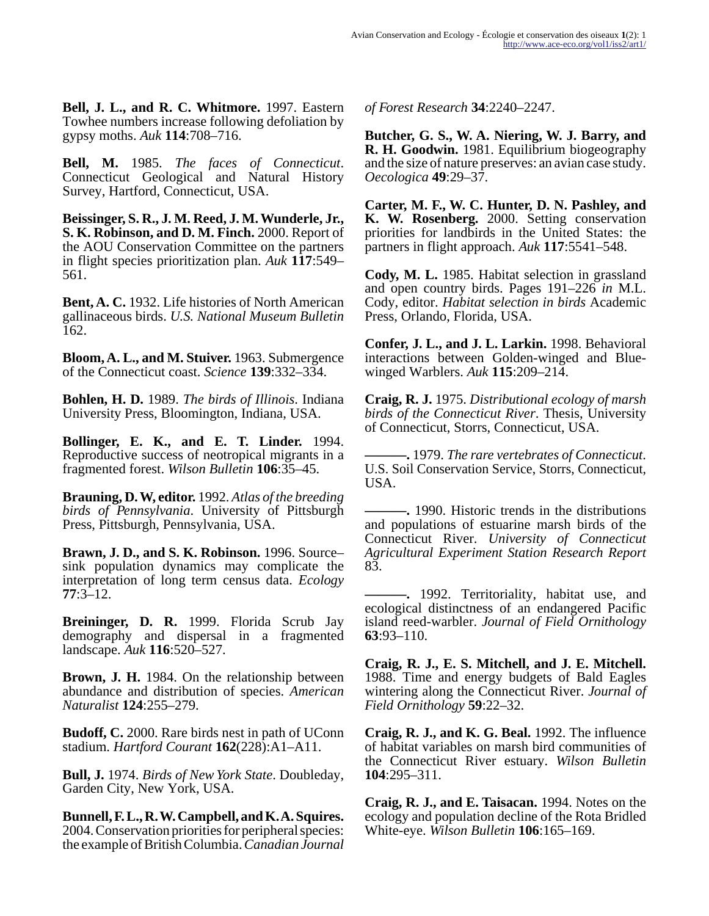**Bell, J. L., and R. C. Whitmore.** 1997. Eastern Towhee numbers increase following defoliation by gypsy moths. *Auk* **114**:708–716.

**Bell, M.** 1985. *The faces of Connecticut*. Connecticut Geological and Natural History Survey, Hartford, Connecticut, USA.

**Beissinger, S. R., J. M. Reed, J. M. Wunderle, Jr., S. K. Robinson, and D. M. Finch.** 2000. Report of the AOU Conservation Committee on the partners in flight species prioritization plan. *Auk* **117**:549– 561.

**Bent, A. C.** 1932. Life histories of North American gallinaceous birds. *U.S. National Museum Bulletin* 162.

**Bloom, A. L., and M. Stuiver.** 1963. Submergence of the Connecticut coast. *Science* **139**:332–334.

**Bohlen, H. D.** 1989. *The birds of Illinois*. Indiana University Press, Bloomington, Indiana, USA.

**Bollinger, E. K., and E. T. Linder.** 1994. Reproductive success of neotropical migrants in a fragmented forest. *Wilson Bulletin* **106**:35–45.

**Brauning, D. W, editor.** 1992. *Atlas of the breeding birds of Pennsylvania*. University of Pittsburgh Press, Pittsburgh, Pennsylvania, USA.

**Brawn, J. D., and S. K. Robinson.** 1996. Source– sink population dynamics may complicate the interpretation of long term census data. *Ecology* **77**:3–12.

**Breininger, D. R.** 1999. Florida Scrub Jay demography and dispersal in a fragmented landscape. *Auk* **116**:520–527.

**Brown, J. H.** 1984. On the relationship between abundance and distribution of species. *American Naturalist* **124**:255–279.

**Budoff, C.** 2000. Rare birds nest in path of UConn stadium. *Hartford Courant* **162**(228):A1–A11.

**Bull, J.** 1974. *Birds of New York State*. Doubleday, Garden City, New York, USA.

**Bunnell, F. L., R. W. Campbell, and K. A. Squires.** 2004. Conservation priorities for peripheral species: the example of British Columbia. *Canadian Journal* *of Forest Research* **34**:2240–2247.

**Butcher, G. S., W. A. Niering, W. J. Barry, and R. H. Goodwin.** 1981. Equilibrium biogeography and the size of nature preserves: an avian case study. *Oecologica* **49**:29–37.

**Carter, M. F., W. C. Hunter, D. N. Pashley, and K. W. Rosenberg.** 2000. Setting conservation priorities for landbirds in the United States: the partners in flight approach. *Auk* **117**:5541–548.

**Cody, M. L.** 1985. Habitat selection in grassland and open country birds. Pages 191–226 *in* M.L. Cody, editor. *Habitat selection in birds* Academic Press, Orlando, Florida, USA.

**Confer, J. L., and J. L. Larkin.** 1998. Behavioral interactions between Golden-winged and Bluewinged Warblers. *Auk* **115**:209–214.

**Craig, R. J.** 1975. *Distributional ecology of marsh birds of the Connecticut River*. Thesis, University of Connecticut, Storrs, Connecticut, USA.

**———.** 1979. *The rare vertebrates of Connecticut*. U.S. Soil Conservation Service, Storrs, Connecticut, USA.

**———.** 1990. Historic trends in the distributions and populations of estuarine marsh birds of the Connecticut River. *University of Connecticut Agricultural Experiment Station Research Report* 83.

**———.** 1992. Territoriality, habitat use, and ecological distinctness of an endangered Pacific island reed-warbler. *Journal of Field Ornithology* **63**:93–110.

**Craig, R. J., E. S. Mitchell, and J. E. Mitchell.** 1988. Time and energy budgets of Bald Eagles wintering along the Connecticut River. *Journal of Field Ornithology* **59**:22–32.

**Craig, R. J., and K. G. Beal.** 1992. The influence of habitat variables on marsh bird communities of the Connecticut River estuary. *Wilson Bulletin* **104**:295–311.

**Craig, R. J., and E. Taisacan.** 1994. Notes on the ecology and population decline of the Rota Bridled White-eye. *Wilson Bulletin* **106**:165–169.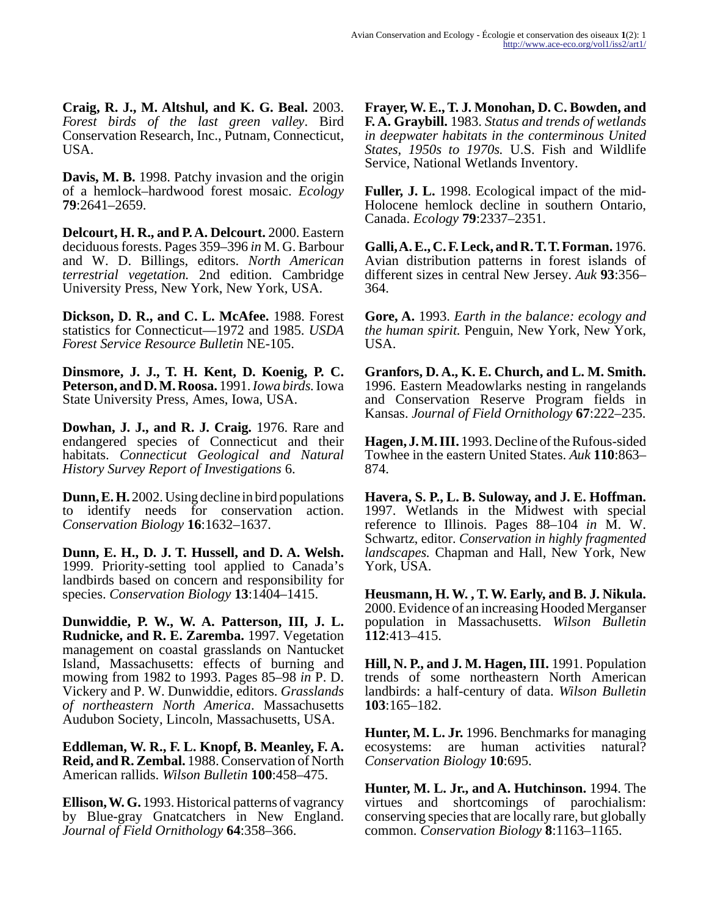**Craig, R. J., M. Altshul, and K. G. Beal.** 2003. *Forest birds of the last green valley*. Bird Conservation Research, Inc., Putnam, Connecticut, USA.

**Davis, M. B.** 1998. Patchy invasion and the origin of a hemlock–hardwood forest mosaic. *Ecology* **79**:2641–2659.

**Delcourt, H. R., and P. A. Delcourt.** 2000. Eastern deciduous forests. Pages 359–396 *in* M. G. Barbour and W. D. Billings, editors. *North American terrestrial vegetation.* 2nd edition. Cambridge University Press, New York, New York, USA.

**Dickson, D. R., and C. L. McAfee.** 1988. Forest statistics for Connecticut—1972 and 1985. *USDA Forest Service Resource Bulletin* NE-105.

**Dinsmore, J. J., T. H. Kent, D. Koenig, P. C. Peterson, and D. M. Roosa.** 1991. *Iowa birds.* Iowa State University Press, Ames, Iowa, USA.

**Dowhan, J. J., and R. J. Craig.** 1976. Rare and endangered species of Connecticut and their habitats. *Connecticut Geological and Natural History Survey Report of Investigations* 6.

**Dunn, E. H.** 2002. Using decline in bird populations to identify needs for conservation action. *Conservation Biology* **16**:1632–1637.

**Dunn, E. H., D. J. T. Hussell, and D. A. Welsh.** 1999. Priority-setting tool applied to Canada's landbirds based on concern and responsibility for species. *Conservation Biology* **13**:1404–1415.

**Dunwiddie, P. W., W. A. Patterson, III, J. L. Rudnicke, and R. E. Zaremba.** 1997. Vegetation management on coastal grasslands on Nantucket Island, Massachusetts: effects of burning and mowing from 1982 to 1993. Pages 85–98 *in* P. D. Vickery and P. W. Dunwiddie, editors. *Grasslands of northeastern North America*. Massachusetts Audubon Society, Lincoln, Massachusetts, USA.

**Eddleman, W. R., F. L. Knopf, B. Meanley, F. A. Reid, and R. Zembal.** 1988. Conservation of North American rallids. *Wilson Bulletin* **100**:458–475.

**Ellison, W. G.** 1993. Historical patterns of vagrancy by Blue-gray Gnatcatchers in New England. *Journal of Field Ornithology* **64**:358–366.

**Frayer, W. E., T. J. Monohan, D. C. Bowden, and F. A. Graybill.** 1983. *Status and trends of wetlands in deepwater habitats in the conterminous United States, 1950s to 1970s.* U.S. Fish and Wildlife Service, National Wetlands Inventory.

**Fuller, J. L.** 1998. Ecological impact of the mid-Holocene hemlock decline in southern Ontario, Canada. *Ecology* **79**:2337–2351.

**Galli, A. E., C. F. Leck, and R. T. T. Forman.** 1976. Avian distribution patterns in forest islands of different sizes in central New Jersey. *Auk* **93**:356– 364.

**Gore, A.** 1993. *Earth in the balance: ecology and the human spirit.* Penguin, New York, New York, USA.

**Granfors, D. A., K. E. Church, and L. M. Smith.** 1996. Eastern Meadowlarks nesting in rangelands and Conservation Reserve Program fields in Kansas. *Journal of Field Ornithology* **67**:222–235.

**Hagen, J. M. III.** 1993. Decline of the Rufous-sided Towhee in the eastern United States. *Auk* **110**:863– 874.

**Havera, S. P., L. B. Suloway, and J. E. Hoffman.** 1997. Wetlands in the Midwest with special reference to Illinois. Pages 88–104 *in* M. W. Schwartz, editor. *Conservation in highly fragmented landscapes.* Chapman and Hall, New York, New York, USA.

**Heusmann, H. W. , T. W. Early, and B. J. Nikula.** 2000. Evidence of an increasing Hooded Merganser population in Massachusetts. *Wilson Bulletin* **112**:413–415.

**Hill, N. P., and J. M. Hagen, III.** 1991. Population trends of some northeastern North American landbirds: a half-century of data. *Wilson Bulletin* **103**:165–182.

**Hunter, M. L. Jr.** 1996. Benchmarks for managing ecosystems: are human activities natural? *Conservation Biology* **10**:695.

**Hunter, M. L. Jr., and A. Hutchinson.** 1994. The virtues and shortcomings of parochialism: conserving species that are locally rare, but globally common. *Conservation Biology* **8**:1163–1165.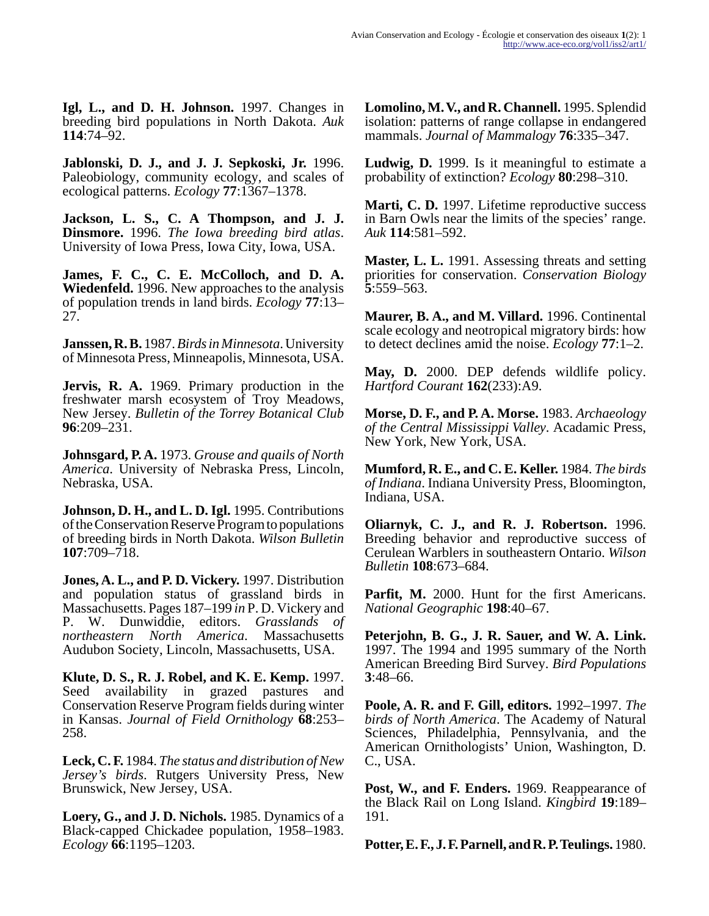**Igl, L., and D. H. Johnson.** 1997. Changes in breeding bird populations in North Dakota. *Auk* **114**:74–92.

**Jablonski, D. J., and J. J. Sepkoski, Jr.** 1996. Paleobiology, community ecology, and scales of ecological patterns. *Ecology* **77**:1367–1378.

**Jackson, L. S., C. A Thompson, and J. J. Dinsmore.** 1996. *The Iowa breeding bird atlas*. University of Iowa Press, Iowa City, Iowa, USA.

**James, F. C., C. E. McColloch, and D. A. Wiedenfeld.** 1996. New approaches to the analysis of population trends in land birds. *Ecology* **77**:13– 27.

**Janssen, R. B.** 1987. *Birds in Minnesota*. University of Minnesota Press, Minneapolis, Minnesota, USA.

**Jervis, R. A.** 1969. Primary production in the freshwater marsh ecosystem of Troy Meadows, New Jersey. *Bulletin of the Torrey Botanical Club* **96**:209–231.

**Johnsgard, P. A.** 1973. *Grouse and quails of North America*. University of Nebraska Press, Lincoln, Nebraska, USA.

**Johnson, D. H., and L. D. Igl.** 1995. Contributions of the Conservation Reserve Program to populations of breeding birds in North Dakota. *Wilson Bulletin* **107**:709–718.

**Jones, A. L., and P. D. Vickery.** 1997. Distribution and population status of grassland birds in Massachusetts. Pages 187–199 *in* P. D. Vickery and P. W. Dunwiddie, editors. *Grasslands of northeastern North America*. Massachusetts Audubon Society, Lincoln, Massachusetts, USA.

**Klute, D. S., R. J. Robel, and K. E. Kemp.** 1997. Seed availability in grazed pastures and Conservation Reserve Program fields during winter in Kansas. *Journal of Field Ornithology* **68**:253– 258.

**Leck, C. F.** 1984. *The status and distribution of New Jersey's birds*. Rutgers University Press, New Brunswick, New Jersey, USA.

**Loery, G., and J. D. Nichols.** 1985. Dynamics of a Black-capped Chickadee population, 1958–1983. *Ecology* **66**:1195–1203.

**Lomolino, M. V., and R. Channell.** 1995. Splendid isolation: patterns of range collapse in endangered mammals. *Journal of Mammalogy* **76**:335–347.

**Ludwig, D.** 1999. Is it meaningful to estimate a probability of extinction? *Ecology* **80**:298–310.

Marti, C. D. 1997. Lifetime reproductive success in Barn Owls near the limits of the species' range. *Auk* **114**:581–592.

**Master, L. L.** 1991. Assessing threats and setting priorities for conservation. *Conservation Biology* **5**:559–563.

**Maurer, B. A., and M. Villard.** 1996. Continental scale ecology and neotropical migratory birds: how to detect declines amid the noise. *Ecology* **77**:1–2.

**May, D.** 2000. DEP defends wildlife policy. *Hartford Courant* **162**(233):A9.

**Morse, D. F., and P. A. Morse.** 1983. *Archaeology of the Central Mississippi Valley*. Acadamic Press, New York, New York, USA.

**Mumford, R. E., and C. E. Keller.** 1984. *The birds of Indiana*. Indiana University Press, Bloomington, Indiana, USA.

**Oliarnyk, C. J., and R. J. Robertson.** 1996. Breeding behavior and reproductive success of Cerulean Warblers in southeastern Ontario. *Wilson Bulletin* **108**:673–684.

Parfit, M. 2000. Hunt for the first Americans. *National Geographic* **198**:40–67.

**Peterjohn, B. G., J. R. Sauer, and W. A. Link.** 1997. The 1994 and 1995 summary of the North American Breeding Bird Survey. *Bird Populations* **3**:48–66.

**Poole, A. R. and F. Gill, editors.** 1992–1997. *The birds of North America*. The Academy of Natural Sciences, Philadelphia, Pennsylvania, and the American Ornithologists' Union, Washington, D. C., USA.

**Post, W., and F. Enders.** 1969. Reappearance of the Black Rail on Long Island. *Kingbird* **19**:189– 191.

**Potter, E. F., J. F. Parnell, and R. P. Teulings.** 1980.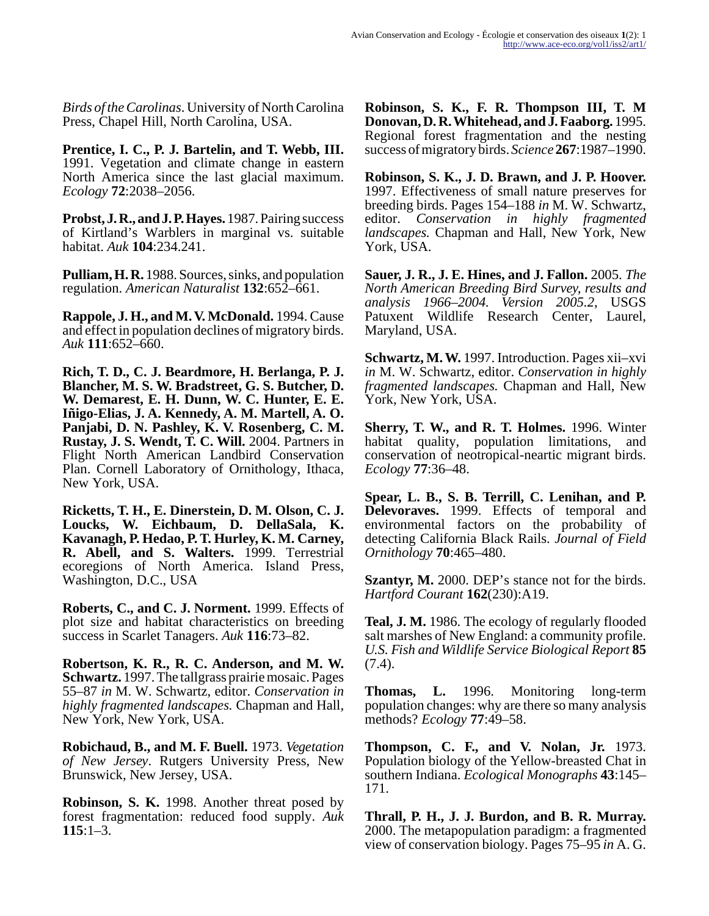*Birds of the Carolinas*. University of North Carolina Press, Chapel Hill, North Carolina, USA.

**Prentice, I. C., P. J. Bartelin, and T. Webb, III.** 1991. Vegetation and climate change in eastern North America since the last glacial maximum. *Ecology* **72**:2038–2056.

**Probst, J. R., and J. P. Hayes.** 1987. Pairing success of Kirtland's Warblers in marginal vs. suitable habitat. *Auk* **104**:234.241.

**Pulliam, H. R.** 1988. Sources, sinks, and population regulation. *American Naturalist* **132**:652–661.

**Rappole, J. H., and M. V. McDonald.** 1994. Cause and effect in population declines of migratory birds. *Auk* **111**:652–660.

**Rich, T. D., C. J. Beardmore, H. Berlanga, P. J. Blancher, M. S. W. Bradstreet, G. S. Butcher, D. W. Demarest, E. H. Dunn, W. C. Hunter, E. E. Iñigo-Elias, J. A. Kennedy, A. M. Martell, A. O. Panjabi, D. N. Pashley, K. V. Rosenberg, C. M. Rustay, J. S. Wendt, T. C. Will.** 2004. Partners in Flight North American Landbird Conservation Plan. Cornell Laboratory of Ornithology, Ithaca, New York, USA.

**Ricketts, T. H., E. Dinerstein, D. M. Olson, C. J. Loucks, W. Eichbaum, D. DellaSala, K. Kavanagh, P. Hedao, P. T. Hurley, K. M. Carney, R. Abell, and S. Walters.** 1999. Terrestrial ecoregions of North America. Island Press, Washington, D.C., USA

**Roberts, C., and C. J. Norment.** 1999. Effects of plot size and habitat characteristics on breeding success in Scarlet Tanagers. *Auk* **116**:73–82.

**Robertson, K. R., R. C. Anderson, and M. W. Schwartz.** 1997. The tallgrass prairie mosaic. Pages 55–87 *in* M. W. Schwartz, editor. *Conservation in highly fragmented landscapes.* Chapman and Hall, New York, New York, USA.

**Robichaud, B., and M. F. Buell.** 1973. *Vegetation of New Jersey*. Rutgers University Press, New Brunswick, New Jersey, USA.

**Robinson, S. K.** 1998. Another threat posed by forest fragmentation: reduced food supply. *Auk* **115**:1–3.

**Robinson, S. K., F. R. Thompson III, T. M Donovan, D. R. Whitehead, and J. Faaborg.** 1995. Regional forest fragmentation and the nesting success of migratory birds. *Science* **267**:1987–1990.

**Robinson, S. K., J. D. Brawn, and J. P. Hoover.** 1997. Effectiveness of small nature preserves for breeding birds. Pages 154–188 *in* M. W. Schwartz, editor. *Conservation in highly fragmented landscapes.* Chapman and Hall, New York, New York, USA.

**Sauer, J. R., J. E. Hines, and J. Fallon.** 2005. *The North American Breeding Bird Survey, results and analysis 1966–2004. Version 2005.2*, USGS Patuxent Wildlife Research Center, Laurel, Maryland, USA.

**Schwartz, M. W.** 1997. Introduction. Pages xii–xvi *in* M. W. Schwartz, editor. *Conservation in highly fragmented landscapes.* Chapman and Hall, New York, New York, USA.

**Sherry, T. W., and R. T. Holmes.** 1996. Winter habitat quality, population limitations, and conservation of neotropical-neartic migrant birds. *Ecology* **77**:36–48.

**Spear, L. B., S. B. Terrill, C. Lenihan, and P. Delevoraves.** 1999. Effects of temporal and environmental factors on the probability of detecting California Black Rails. *Journal of Field Ornithology* **70**:465–480.

**Szantyr, M.** 2000. DEP's stance not for the birds. *Hartford Courant* **162**(230):A19.

**Teal, J. M.** 1986. The ecology of regularly flooded salt marshes of New England: a community profile. *U.S. Fish and Wildlife Service Biological Report* **85** (7.4).

**Thomas, L.** 1996. Monitoring long-term population changes: why are there so many analysis methods? *Ecology* **77**:49–58.

**Thompson, C. F., and V. Nolan, Jr.** 1973. Population biology of the Yellow-breasted Chat in southern Indiana. *Ecological Monographs* **43**:145– 171.

**Thrall, P. H., J. J. Burdon, and B. R. Murray.** 2000. The metapopulation paradigm: a fragmented view of conservation biology. Pages 75–95 *in* A. G.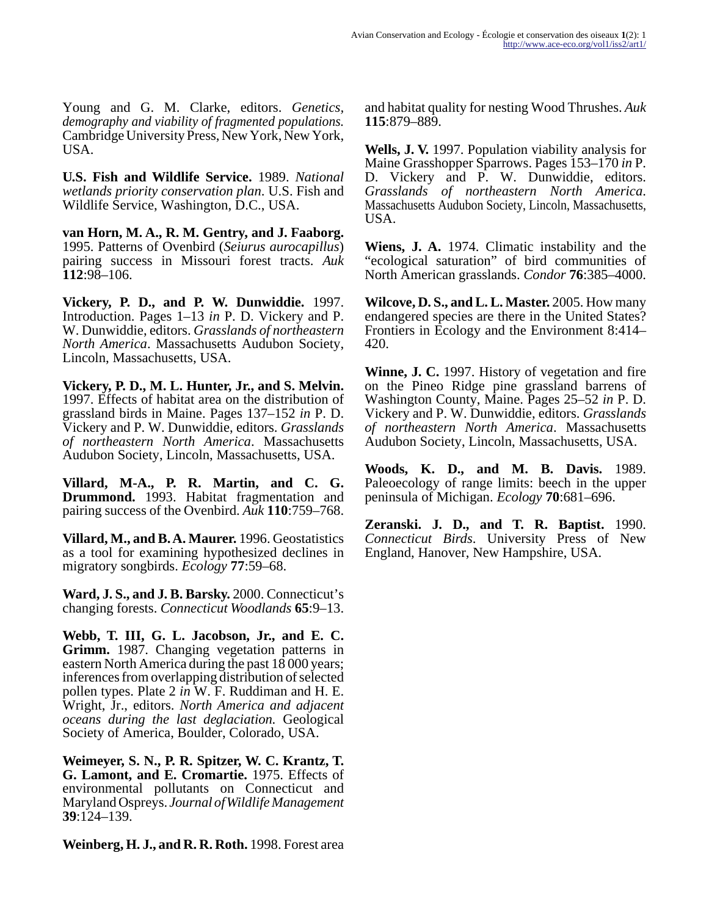Young and G. M. Clarke, editors. *Genetics, demography and viability of fragmented populations.* Cambridge University Press, New York, New York, USA.

**U.S. Fish and Wildlife Service.** 1989. *National wetlands priority conservation plan*. U.S. Fish and Wildlife Service, Washington, D.C., USA.

**van Horn, M. A., R. M. Gentry, and J. Faaborg.** 1995. Patterns of Ovenbird (*Seiurus aurocapillus*) pairing success in Missouri forest tracts. *Auk* **112**:98–106.

**Vickery, P. D., and P. W. Dunwiddie.** 1997. Introduction. Pages 1–13 *in* P. D. Vickery and P. W. Dunwiddie, editors. *Grasslands of northeastern North America*. Massachusetts Audubon Society, Lincoln, Massachusetts, USA.

**Vickery, P. D., M. L. Hunter, Jr., and S. Melvin.** 1997. Effects of habitat area on the distribution of grassland birds in Maine. Pages 137–152 *in* P. D. Vickery and P. W. Dunwiddie, editors. *Grasslands of northeastern North America*. Massachusetts Audubon Society, Lincoln, Massachusetts, USA.

**Villard, M-A., P. R. Martin, and C. G. Drummond.** 1993. Habitat fragmentation and pairing success of the Ovenbird. *Auk* **110**:759–768.

**Villard, M., and B. A. Maurer.** 1996. Geostatistics as a tool for examining hypothesized declines in migratory songbirds. *Ecology* **77**:59–68.

**Ward, J. S., and J. B. Barsky.** 2000. Connecticut's changing forests. *Connecticut Woodlands* **65**:9–13.

**Webb, T. III, G. L. Jacobson, Jr., and E. C. Grimm.** 1987. Changing vegetation patterns in eastern North America during the past 18 000 years; inferences from overlapping distribution of selected pollen types. Plate 2 *in* W. F. Ruddiman and H. E. Wright, Jr., editors. *North America and adjacent oceans during the last deglaciation.* Geological Society of America, Boulder, Colorado, USA.

**Weimeyer, S. N., P. R. Spitzer, W. C. Krantz, T. G. Lamont, and E. Cromartie.** 1975. Effects of environmental pollutants on Connecticut and Maryland Ospreys. *Journal of Wildlife Management* **39**:124–139.

**Weinberg, H. J., and R. R. Roth.** 1998. Forest area

and habitat quality for nesting Wood Thrushes. *Auk* **115**:879–889.

**Wells, J. V.** 1997. Population viability analysis for Maine Grasshopper Sparrows. Pages 153–170 *in* P. D. Vickery and P. W. Dunwiddie, editors. *Grasslands of northeastern North America*. Massachusetts Audubon Society, Lincoln, Massachusetts, USA.

**Wiens, J. A.** 1974. Climatic instability and the "ecological saturation" of bird communities of North American grasslands. *Condor* **76**:385–4000.

**Wilcove, D. S., and L. L. Master.** 2005. How many endangered species are there in the United States? Frontiers in Ecology and the Environment 8:414– 420.

**Winne, J. C.** 1997. History of vegetation and fire on the Pineo Ridge pine grassland barrens of Washington County, Maine. Pages 25–52 *in* P. D. Vickery and P. W. Dunwiddie, editors. *Grasslands of northeastern North America*. Massachusetts Audubon Society, Lincoln, Massachusetts, USA.

**Woods, K. D., and M. B. Davis.** 1989. Paleoecology of range limits: beech in the upper peninsula of Michigan. *Ecology* **70**:681–696.

**Zeranski. J. D., and T. R. Baptist.** 1990. *Connecticut Birds*. University Press of New England, Hanover, New Hampshire, USA.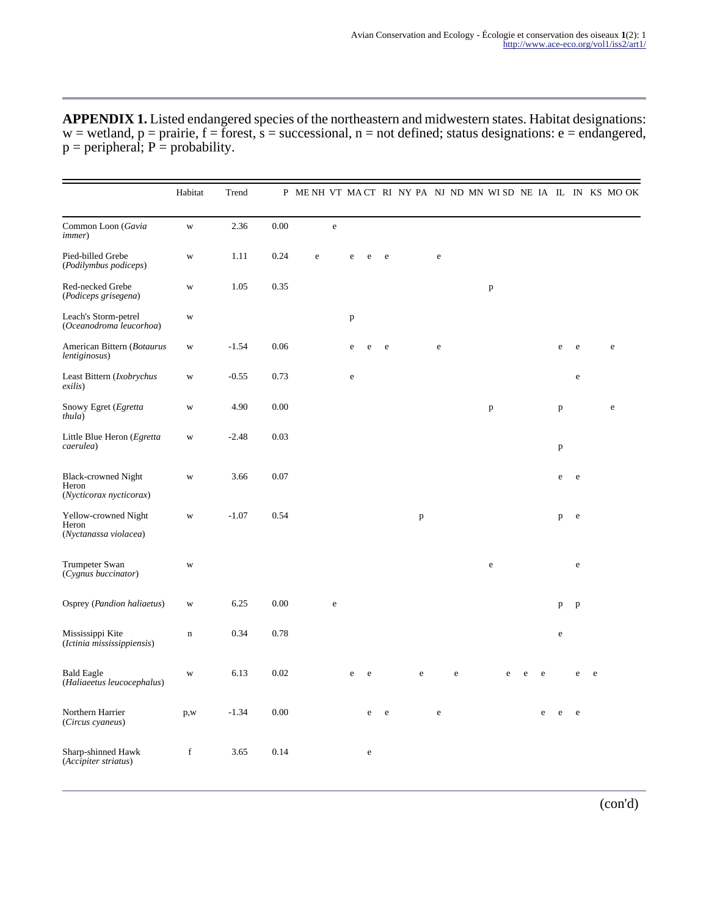**APPENDIX 1.** Listed endangered species of the northeastern and midwestern states. Habitat designations:  $w =$  wetland,  $p =$  prairie,  $f =$  forest,  $s =$  successional,  $n =$  not defined; status designations:  $e =$  endangered,  $p =$  peripheral;  $P =$  probability.

|                                                         | Habitat     | Trend   |      | P MENH VT MACT RI NY PA NJ ND MN WISD NE IA IL IN KS MOOK |           |           |           |   |         |           |         |              |   |             |              |              |   |         |
|---------------------------------------------------------|-------------|---------|------|-----------------------------------------------------------|-----------|-----------|-----------|---|---------|-----------|---------|--------------|---|-------------|--------------|--------------|---|---------|
| Common Loon (Gavia<br><i>immer</i> )                    | $\mathbf W$ | 2.36    | 0.00 |                                                           | ${\rm e}$ |           |           |   |         |           |         |              |   |             |              |              |   |         |
| Pied-billed Grebe<br>(Podilymbus podiceps)              | W           | 1.11    | 0.24 | ${\bf e}$                                                 |           | ${\bf e}$ | ${\rm e}$ | e |         | $\rm e$   |         |              |   |             |              |              |   |         |
| Red-necked Grebe<br>(Podiceps grisegena)                | W           | 1.05    | 0.35 |                                                           |           |           |           |   |         |           |         | $\mathbf{p}$ |   |             |              |              |   |         |
| Leach's Storm-petrel<br>(Oceanodroma leucorhoa)         | W           |         |      |                                                           |           | p         |           |   |         |           |         |              |   |             |              |              |   |         |
| American Bittern (Botaurus<br>lentiginosus)             | W           | $-1.54$ | 0.06 |                                                           |           | $\rm e$   | ${\rm e}$ | e |         | $\rm e$   |         |              |   |             | $\rm e$      | $\mathbf e$  |   | $\rm e$ |
| Least Bittern (Ixobrychus<br>exilis)                    | $\mathbf W$ | $-0.55$ | 0.73 |                                                           |           | ${\bf e}$ |           |   |         |           |         |              |   |             |              | ${\rm e}$    |   |         |
| Snowy Egret (Egretta<br>thula)                          | $\mathbf W$ | 4.90    | 0.00 |                                                           |           |           |           |   |         |           |         | $\mathbf{p}$ |   |             | $\mathbf{p}$ |              |   | e       |
| Little Blue Heron (Egretta<br>caerulea)                 | $\mathbf W$ | $-2.48$ | 0.03 |                                                           |           |           |           |   |         |           |         |              |   |             | $\, {\bf p}$ |              |   |         |
| Black-crowned Night<br>Heron<br>(Nycticorax nycticorax) | $\mathbf W$ | 3.66    | 0.07 |                                                           |           |           |           |   |         |           |         |              |   |             | e            | $\mathbf e$  |   |         |
| Yellow-crowned Night<br>Heron<br>(Nyctanassa violacea)  | $\mathbf W$ | $-1.07$ | 0.54 |                                                           |           |           |           |   | p       |           |         |              |   |             | p            | e            |   |         |
| <b>Trumpeter Swan</b><br>(Cygnus buccinator)            | W           |         |      |                                                           |           |           |           |   |         |           |         | $\rm e$      |   |             |              | $\rm e$      |   |         |
| Osprey (Pandion haliaetus)                              | W           | 6.25    | 0.00 |                                                           | ${\bf e}$ |           |           |   |         |           |         |              |   |             | $\mathbf{p}$ | $\mathbf{p}$ |   |         |
| Mississippi Kite<br>(Ictinia mississippiensis)          | $\mathbf n$ | 0.34    | 0.78 |                                                           |           |           |           |   |         |           |         |              |   |             | $\rm e$      |              |   |         |
| <b>Bald Eagle</b><br>(Haliaeetus leucocephalus)         | W           | 6.13    | 0.02 |                                                           |           | ${\bf e}$ | e         |   | $\rm e$ |           | $\rm e$ | e            | e | $\mathbf e$ |              | e            | e |         |
| Northern Harrier<br>(Circus cyaneus)                    | p,w         | $-1.34$ | 0.00 |                                                           |           |           | ${\rm e}$ | e |         | ${\bf e}$ |         |              |   | $\rm e$     | $\rm e$      | e            |   |         |
| Sharp-shinned Hawk<br>(Accipiter striatus)              | $\mathbf f$ | 3.65    | 0.14 |                                                           |           |           | ${\bf e}$ |   |         |           |         |              |   |             |              |              |   |         |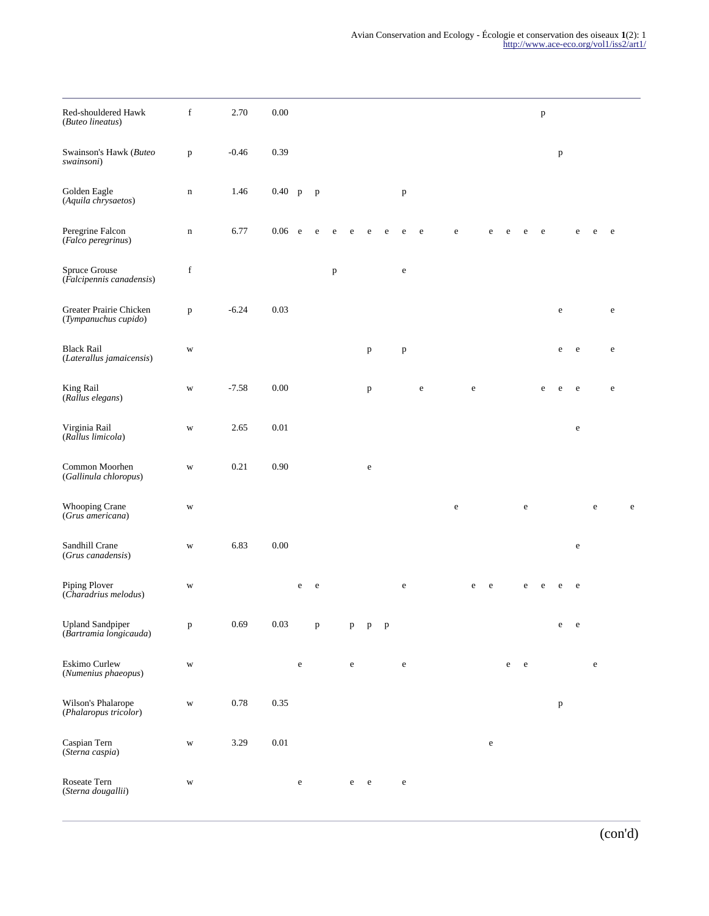| Red-shouldered Hawk<br>(Buteo lineatus)           | $\mathbf f$  | 2.70    | 0.00     |           |              |              |           |              |              |              |         |         |           |           |         |           | p           |              |           |         |         |         |
|---------------------------------------------------|--------------|---------|----------|-----------|--------------|--------------|-----------|--------------|--------------|--------------|---------|---------|-----------|-----------|---------|-----------|-------------|--------------|-----------|---------|---------|---------|
| Swainson's Hawk (Buteo<br>swainsoni)              | $\mathbf{p}$ | $-0.46$ | 0.39     |           |              |              |           |              |              |              |         |         |           |           |         |           |             | p            |           |         |         |         |
| Golden Eagle<br>(Aquila chrysaetos)               | $\mathbf n$  | 1.46    | $0.40$ p |           | $\mathbf{p}$ |              |           |              |              | $\, {\bf p}$ |         |         |           |           |         |           |             |              |           |         |         |         |
| Peregrine Falcon<br>(Falco peregrinus)            | $\mathbf n$  | 6.77    | 0.06 e   |           | e            | e            | e         | e            | e            | e            | e       | $\rm e$ |           | $\rm e$   | e       | e         | $\mathbf e$ |              | e         | e       | e       |         |
| Spruce Grouse<br>(Falcipennis canadensis)         | $\mathbf f$  |         |          |           |              | $\, {\bf p}$ |           |              |              | $\rm e$      |         |         |           |           |         |           |             |              |           |         |         |         |
| Greater Prairie Chicken<br>(Tympanuchus cupido)   | p            | $-6.24$ | 0.03     |           |              |              |           |              |              |              |         |         |           |           |         |           |             | $\rm e$      |           |         | $\rm e$ |         |
| <b>Black Rail</b><br>(Laterallus jamaicensis)     | $\mathbf W$  |         |          |           |              |              |           | $\, {\bf p}$ |              | $\, {\bf p}$ |         |         |           |           |         |           |             | $\rm e$      | ${\bf e}$ |         | $\rm e$ |         |
| King Rail<br>(Rallus elegans)                     | W            | $-7.58$ | $0.00\,$ |           |              |              |           | $\mathbf{p}$ |              |              | $\rm e$ |         | $\rm e$   |           |         |           | ${\rm e}$   | $\rm e$      | ${\bf e}$ |         | $\rm e$ |         |
| Virginia Rail<br>(Rallus limicola)                | $\mathbf W$  | 2.65    | 0.01     |           |              |              |           |              |              |              |         |         |           |           |         |           |             |              | $\rm e$   |         |         |         |
| Common Moorhen<br>(Gallinula chloropus)           | W            | 0.21    | 0.90     |           |              |              |           | $\rm e$      |              |              |         |         |           |           |         |           |             |              |           |         |         |         |
| <b>Whooping Crane</b><br>(Grus americana)         | $\mathbf W$  |         |          |           |              |              |           |              |              |              |         | $\rm e$ |           |           |         | ${\bf e}$ |             |              |           | $\rm e$ |         | $\rm e$ |
| Sandhill Crane<br>(Grus canadensis)               | W            | 6.83    | 0.00     |           |              |              |           |              |              |              |         |         |           |           |         |           |             |              | $\rm e$   |         |         |         |
| Piping Plover<br>(Charadrius melodus)             | W            |         |          | e         | e            |              |           |              |              | e            |         |         | ${\rm e}$ | ${\rm e}$ |         | e         | e           | e            | e         |         |         |         |
| <b>Upland Sandpiper</b><br>(Bartramia longicauda) | p            | 0.69    | 0.03     |           | $\, {\bf p}$ |              | p         | $\mathbf{p}$ | $\mathbf{p}$ |              |         |         |           |           |         |           |             | ${\bf e}$    | e         |         |         |         |
| <b>Eskimo Curlew</b><br>(Numenius phaeopus)       | $\mathbf W$  |         |          | ${\rm e}$ |              |              | ${\rm e}$ |              |              | ${\bf e}$    |         |         |           |           | $\rm e$ | e         |             |              |           | $\rm e$ |         |         |
| Wilson's Phalarope<br>(Phalaropus tricolor)       | $\mathbf W$  | 0.78    | 0.35     |           |              |              |           |              |              |              |         |         |           |           |         |           |             | $\, {\bf p}$ |           |         |         |         |
| Caspian Tern<br>(Sterna caspia)                   | $\mathbf W$  | 3.29    | $0.01\,$ |           |              |              |           |              |              |              |         |         |           | ${\rm e}$ |         |           |             |              |           |         |         |         |
| Roseate Tern<br>(Sterna dougallii)                | $\mathbf W$  |         |          | ${\bf e}$ |              |              | ${\bf e}$ | e            |              | e            |         |         |           |           |         |           |             |              |           |         |         |         |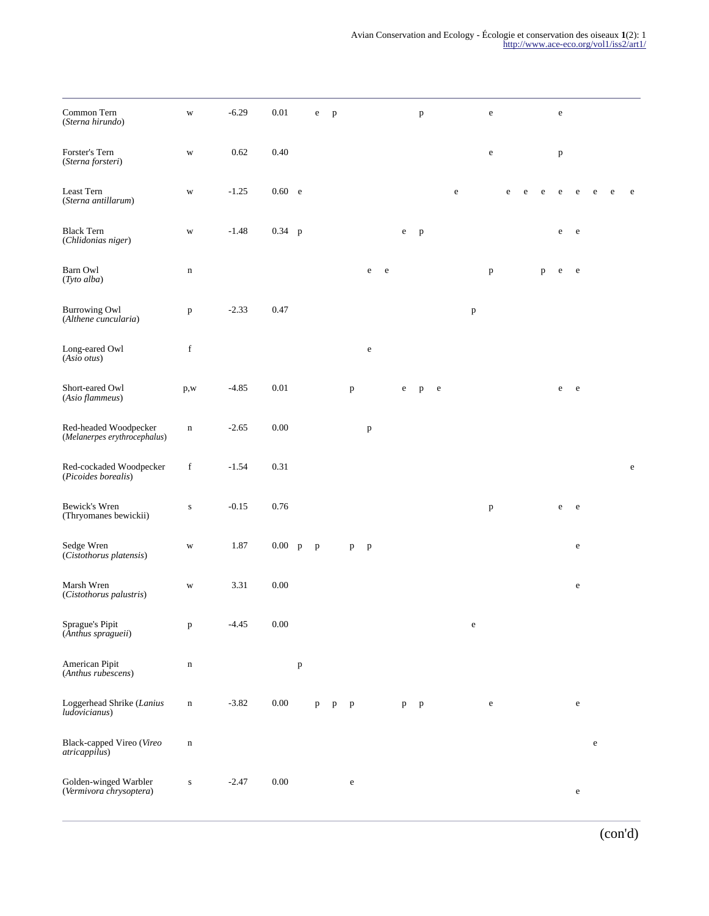| Common Tern<br>(Sterna hirundo)                       | W            | $-6.29$ | $0.01\,$                 |              | ${\bf e}$ | $\, {\bf p}$ |              |              |   |              | $\, {\bf p}$ |   |           |              | ${\bf e}$    |             |   |   | ${\bf e}$    |           |           |   |           |
|-------------------------------------------------------|--------------|---------|--------------------------|--------------|-----------|--------------|--------------|--------------|---|--------------|--------------|---|-----------|--------------|--------------|-------------|---|---|--------------|-----------|-----------|---|-----------|
| Forster's Tern<br>(Sterna forsteri)                   | W            | 0.62    | 0.40                     |              |           |              |              |              |   |              |              |   |           |              | $\mathbf e$  |             |   |   | $\, {\bf p}$ |           |           |   |           |
| Least Tern<br>(Sterna antillarum)                     | W            | $-1.25$ | 0.60 e                   |              |           |              |              |              |   |              |              |   | ${\rm e}$ |              |              | $\mathbf e$ | e | e | ${\rm e}$    | ${\rm e}$ | ${\rm e}$ | e | ${\bf e}$ |
| <b>Black Tern</b><br>(Chlidonias niger)               | W            | $-1.48$ | $0.34$ p                 |              |           |              |              |              |   | ${\bf e}$    | $\mathbf{p}$ |   |           |              |              |             |   |   | ${\bf e}$    | ${\bf e}$ |           |   |           |
| Barn Owl<br>(Tyto alba)                               | $\mathbf n$  |         |                          |              |           |              |              | e            | e |              |              |   |           |              | $\, {\bf p}$ |             |   | p | e            | e         |           |   |           |
| <b>Burrowing Owl</b><br>(Althene cuncularia)          | $\, {\bf p}$ | $-2.33$ | 0.47                     |              |           |              |              |              |   |              |              |   |           | $\, {\bf p}$ |              |             |   |   |              |           |           |   |           |
| Long-eared Owl<br>(Asio otus)                         | f            |         |                          |              |           |              |              | $\rm e$      |   |              |              |   |           |              |              |             |   |   |              |           |           |   |           |
| Short-eared Owl<br>(Asio flammeus)                    | p,w          | $-4.85$ | 0.01                     |              |           |              | $\, {\bf p}$ |              |   | e            | $\mathbf{p}$ | e |           |              |              |             |   |   | e            | ${\bf e}$ |           |   |           |
| Red-headed Woodpecker<br>(Melanerpes erythrocephalus) | $\mathbf n$  | $-2.65$ | 0.00                     |              |           |              |              | $\, {\bf p}$ |   |              |              |   |           |              |              |             |   |   |              |           |           |   |           |
| Red-cockaded Woodpecker<br>(Picoides borealis)        | $\mathbf f$  | $-1.54$ | 0.31                     |              |           |              |              |              |   |              |              |   |           |              |              |             |   |   |              |           |           |   | $\rm e$   |
| Bewick's Wren<br>(Thryomanes bewickii)                | ${\bf S}$    | $-0.15$ | 0.76                     |              |           |              |              |              |   |              |              |   |           |              | $\, {\bf p}$ |             |   |   | e            | ${\bf e}$ |           |   |           |
| Sedge Wren<br>(Cistothorus platensis)                 | $\mathbf W$  | 1.87    | $0.00\,$<br>$\mathbf{p}$ | $\mathbf{p}$ |           |              | $\mathbf{p}$ | $\mathbf{p}$ |   |              |              |   |           |              |              |             |   |   |              | ${\bf e}$ |           |   |           |
| Marsh Wren<br>(Cistothorus palustris)                 | W            | 3.31    | 0.00                     |              |           |              |              |              |   |              |              |   |           |              |              |             |   |   |              | ${\rm e}$ |           |   |           |
| Sprague's Pipit<br>(Anthus spragueii)                 | $\, {\bf p}$ | $-4.45$ | $0.00\,$                 |              |           |              |              |              |   |              |              |   |           | ${\rm e}$    |              |             |   |   |              |           |           |   |           |
| American Pipit<br>(Anthus rubescens)                  | $\mathbf n$  |         | $\, {\bf p}$             |              |           |              |              |              |   |              |              |   |           |              |              |             |   |   |              |           |           |   |           |
| Loggerhead Shrike (Lanius<br>ludovicianus)            | $\mathbf n$  | $-3.82$ | $0.00\,$                 |              | p         | p            | $\mathbf{p}$ |              |   | $\mathbf{p}$ | p            |   |           |              | ${\bf e}$    |             |   |   |              | ${\bf e}$ |           |   |           |
| Black-capped Vireo (Vireo<br>atricappilus)            | $\mathbf n$  |         |                          |              |           |              |              |              |   |              |              |   |           |              |              |             |   |   |              |           | ${\rm e}$ |   |           |
| Golden-winged Warbler<br>(Vermivora chrysoptera)      | ${\bf S}$    | $-2.47$ | $0.00\,$                 |              |           |              | ${\bf e}$    |              |   |              |              |   |           |              |              |             |   |   |              | ${\rm e}$ |           |   |           |